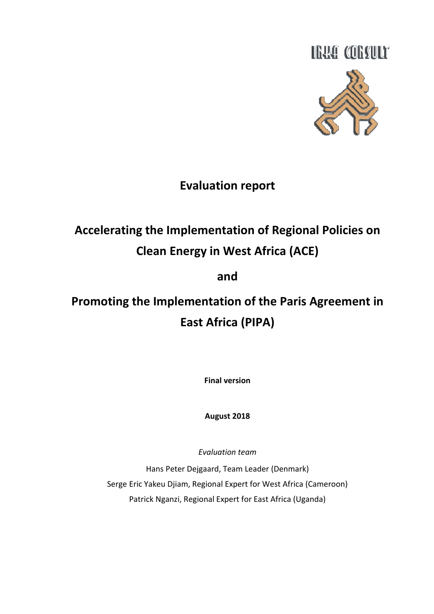

# Evaluation report

# Accelerating the Implementation of Regional Policies on Clean Energy in West Africa (ACE)

# and

# Promoting the Implementation of the Paris Agreement in East Africa (PIPA)

Final version

August 2018

Evaluation team

Hans Peter Dejgaard, Team Leader (Denmark) Serge Eric Yakeu Djiam, Regional Expert for West Africa (Cameroon) Patrick Nganzi, Regional Expert for East Africa (Uganda)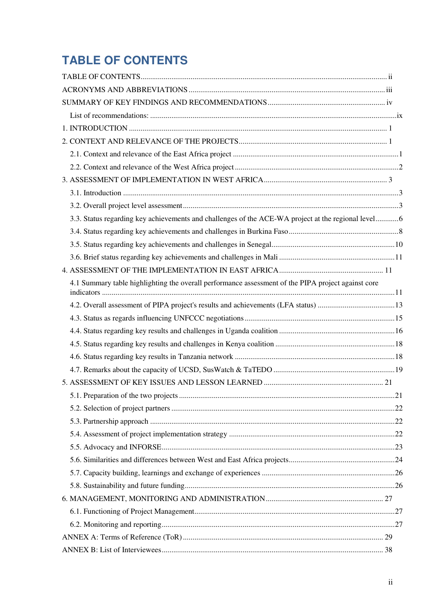# **TABLE OF CONTENTS**

| 3.3. Status regarding key achievements and challenges of the ACE-WA project at the regional level6 |  |
|----------------------------------------------------------------------------------------------------|--|
|                                                                                                    |  |
|                                                                                                    |  |
|                                                                                                    |  |
|                                                                                                    |  |
| 4.1 Summary table highlighting the overall performance assessment of the PIPA project against core |  |
|                                                                                                    |  |
|                                                                                                    |  |
|                                                                                                    |  |
|                                                                                                    |  |
|                                                                                                    |  |
|                                                                                                    |  |
|                                                                                                    |  |
|                                                                                                    |  |
|                                                                                                    |  |
|                                                                                                    |  |
|                                                                                                    |  |
|                                                                                                    |  |
|                                                                                                    |  |
|                                                                                                    |  |
|                                                                                                    |  |
|                                                                                                    |  |
|                                                                                                    |  |
|                                                                                                    |  |
|                                                                                                    |  |
|                                                                                                    |  |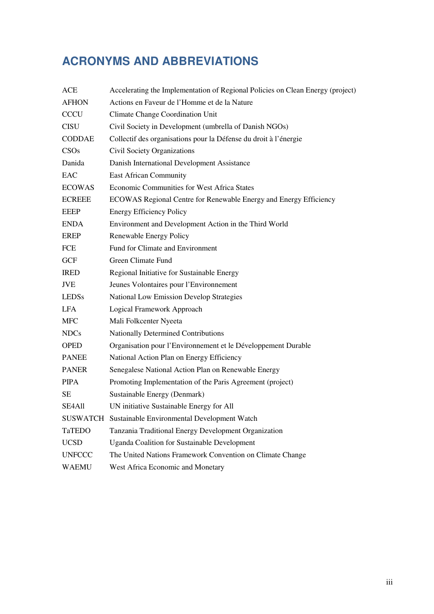# **ACRONYMS AND ABBREVIATIONS**

| ACE           | Accelerating the Implementation of Regional Policies on Clean Energy (project) |  |  |
|---------------|--------------------------------------------------------------------------------|--|--|
| <b>AFHON</b>  | Actions en Faveur de l'Homme et de la Nature                                   |  |  |
| <b>CCCU</b>   | Climate Change Coordination Unit                                               |  |  |
| <b>CISU</b>   | Civil Society in Development (umbrella of Danish NGOs)                         |  |  |
| <b>CODDAE</b> | Collectif des organisations pour la Défense du droit à l'énergie               |  |  |
| CSOs          | Civil Society Organizations                                                    |  |  |
| Danida        | Danish International Development Assistance                                    |  |  |
| EAC           | <b>East African Community</b>                                                  |  |  |
| <b>ECOWAS</b> | <b>Economic Communities for West Africa States</b>                             |  |  |
| <b>ECREEE</b> | ECOWAS Regional Centre for Renewable Energy and Energy Efficiency              |  |  |
| <b>EEEP</b>   | <b>Energy Efficiency Policy</b>                                                |  |  |
| <b>ENDA</b>   | Environment and Development Action in the Third World                          |  |  |
| <b>EREP</b>   | Renewable Energy Policy                                                        |  |  |
| FCE           | Fund for Climate and Environment                                               |  |  |
| <b>GCF</b>    | Green Climate Fund                                                             |  |  |
| <b>IRED</b>   | Regional Initiative for Sustainable Energy                                     |  |  |
| <b>JVE</b>    | Jeunes Volontaires pour l'Environnement                                        |  |  |
| <b>LEDSs</b>  | <b>National Low Emission Develop Strategies</b>                                |  |  |
| <b>LFA</b>    | Logical Framework Approach                                                     |  |  |
| <b>MFC</b>    | Mali Folkcenter Nyeeta                                                         |  |  |
| <b>NDCs</b>   | Nationally Determined Contributions                                            |  |  |
| <b>OPED</b>   | Organisation pour l'Environnement et le Développement Durable                  |  |  |
| <b>PANEE</b>  | National Action Plan on Energy Efficiency                                      |  |  |
| <b>PANER</b>  | Senegalese National Action Plan on Renewable Energy                            |  |  |
| <b>PIPA</b>   | Promoting Implementation of the Paris Agreement (project)                      |  |  |
| SE            | Sustainable Energy (Denmark)                                                   |  |  |
| SE4All        | UN initiative Sustainable Energy for All                                       |  |  |
|               | SUSWATCH Sustainable Environmental Development Watch                           |  |  |
| TaTEDO        | Tanzania Traditional Energy Development Organization                           |  |  |
| <b>UCSD</b>   | <b>Uganda Coalition for Sustainable Development</b>                            |  |  |
| <b>UNFCCC</b> | The United Nations Framework Convention on Climate Change                      |  |  |
| WAEMU         | West Africa Economic and Monetary                                              |  |  |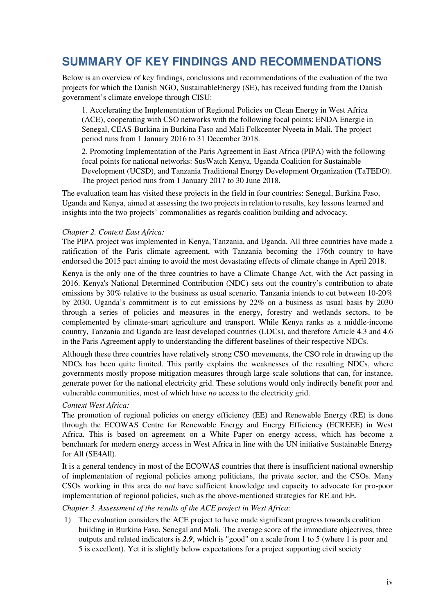# **SUMMARY OF KEY FINDINGS AND RECOMMENDATIONS**

Below is an overview of key findings, conclusions and recommendations of the evaluation of the two projects for which the Danish NGO, SustainableEnergy (SE), has received funding from the Danish government's climate envelope through CISU:

1. Accelerating the Implementation of Regional Policies on Clean Energy in West Africa (ACE), cooperating with CSO networks with the following focal points: ENDA Energie in Senegal, CEAS-Burkina in Burkina Faso and Mali Folkcenter Nyeeta in Mali. The project period runs from 1 January 2016 to 31 December 2018.

2. Promoting Implementation of the Paris Agreement in East Africa (PIPA) with the following focal points for national networks: SusWatch Kenya, Uganda Coalition for Sustainable Development (UCSD), and Tanzania Traditional Energy Development Organization (TaTEDO). The project period runs from 1 January 2017 to 30 June 2018.

The evaluation team has visited these projects in the field in four countries: Senegal, Burkina Faso, Uganda and Kenya, aimed at assessing the two projects in relation to results, key lessons learned and insights into the two projects' commonalities as regards coalition building and advocacy.

#### *Chapter 2. Context East Africa:*

The PIPA project was implemented in Kenya, Tanzania, and Uganda. All three countries have made a ratification of the Paris climate agreement, with Tanzania becoming the 176th country to have endorsed the 2015 pact aiming to avoid the most devastating effects of climate change in April 2018.

Kenya is the only one of the three countries to have a Climate Change Act, with the Act passing in 2016. Kenya's National Determined Contribution (NDC) sets out the country's contribution to abate emissions by 30% relative to the business as usual scenario. Tanzania intends to cut between 10-20% by 2030. Uganda's commitment is to cut emissions by 22% on a business as usual basis by 2030 through a series of policies and measures in the energy, forestry and wetlands sectors, to be complemented by climate-smart agriculture and transport. While Kenya ranks as a middle-income country, Tanzania and Uganda are least developed countries (LDCs), and therefore Article 4.3 and 4.6 in the Paris Agreement apply to understanding the different baselines of their respective NDCs.

Although these three countries have relatively strong CSO movements, the CSO role in drawing up the NDCs has been quite limited. This partly explains the weaknesses of the resulting NDCs, where governments mostly propose mitigation measures through large-scale solutions that can, for instance, generate power for the national electricity grid. These solutions would only indirectly benefit poor and vulnerable communities, most of which have *no* access to the electricity grid.

#### *Context West Africa:*

The promotion of regional policies on energy efficiency (EE) and Renewable Energy (RE) is done through the ECOWAS Centre for Renewable Energy and Energy Efficiency (ECREEE) in West Africa. This is based on agreement on a White Paper on energy access, which has become a benchmark for modern energy access in West Africa in line with the UN initiative Sustainable Energy for All (SE4All).

It is a general tendency in most of the ECOWAS countries that there is insufficient national ownership of implementation of regional policies among politicians, the private sector, and the CSOs. Many CSOs working in this area do *not* have sufficient knowledge and capacity to advocate for pro-poor implementation of regional policies, such as the above-mentioned strategies for RE and EE.

#### *Chapter 3. Assessment of the results of the ACE project in West Africa:*

1) The evaluation considers the ACE project to have made significant progress towards coalition building in Burkina Faso, Senegal and Mali. The average score of the immediate objectives, three outputs and related indicators is *2.9*, which is "good" on a scale from 1 to 5 (where 1 is poor and 5 is excellent). Yet it is slightly below expectations for a project supporting civil society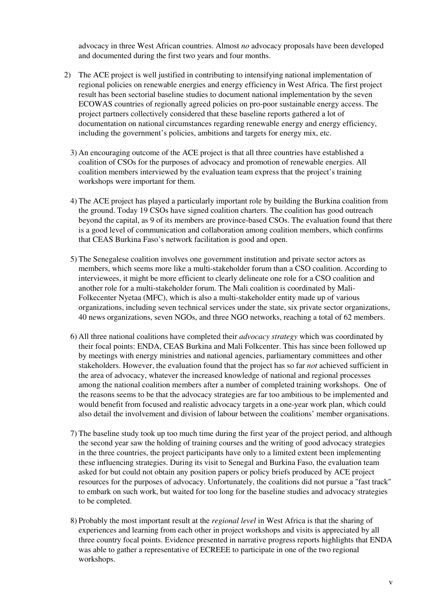advocacy in three West African countries. Almost *no* advocacy proposals have been developed and documented during the first two years and four months.

- 2) The ACE project is well justified in contributing to intensifying national implementation of regional policies on renewable energies and energy efficiency in West Africa. The first project result has been sectorial baseline studies to document national implementation by the seven ECOWAS countries of regionally agreed policies on pro-poor sustainable energy access. The project partners collectively considered that these baseline reports gathered a lot of documentation on national circumstances regarding renewable energy and energy efficiency, including the government's policies, ambitions and targets for energy mix, etc.
	- 3) An encouraging outcome of the ACE project is that all three countries have established a coalition of CSOs for the purposes of advocacy and promotion of renewable energies. All coalition members interviewed by the evaluation team express that the project's training workshops were important for them.
	- 4) The ACE project has played a particularly important role by building the Burkina coalition from the ground. Today 19 CSOs have signed coalition charters. The coalition has good outreach beyond the capital, as 9 of its members are province-based CSOs. The evaluation found that there is a good level of communication and collaboration among coalition members, which confirms that CEAS Burkina Faso's network facilitation is good and open.
	- 5) The Senegalese coalition involves one government institution and private sector actors as members, which seems more like a multi-stakeholder forum than a CSO coalition. According to interviewees, it might be more efficient to clearly delineate one role for a CSO coalition and another role for a multi-stakeholder forum. The Mali coalition is coordinated by Mali-Folkecenter Nyetaa (MFC), which is also a multi-stakeholder entity made up of various organizations, including seven technical services under the state, six private sector organizations, 40 news organizations, seven NGOs, and three NGO networks, reaching a total of 62 members.
	- 6) All three national coalitions have completed their *advocacy strategy* which was coordinated by their focal points: ENDA, CEAS Burkina and Mali Folkcenter. This has since been followed up by meetings with energy ministries and national agencies, parliamentary committees and other stakeholders. However, the evaluation found that the project has so far *not* achieved sufficient in the area of advocacy, whatever the increased knowledge of national and regional processes among the national coalition members after a number of completed training workshops. One of the reasons seems to be that the advocacy strategies are far too ambitious to be implemented and would benefit from focused and realistic advocacy targets in a one-year work plan, which could also detail the involvement and division of labour between the coalitions' member organisations.
	- 7) The baseline study took up too much time during the first year of the project period, and although the second year saw the holding of training courses and the writing of good advocacy strategies in the three countries, the project participants have only to a limited extent been implementing these influencing strategies. During its visit to Senegal and Burkina Faso, the evaluation team asked for but could not obtain any position papers or policy briefs produced by ACE project resources for the purposes of advocacy. Unfortunately, the coalitions did not pursue a "fast track" to embark on such work, but waited for too long for the baseline studies and advocacy strategies to be completed.
	- 8) Probably the most important result at the *regional level* in West Africa is that the sharing of experiences and learning from each other in project workshops and visits is appreciated by all three country focal points. Evidence presented in narrative progress reports highlights that ENDA was able to gather a representative of ECREEE to participate in one of the two regional workshops.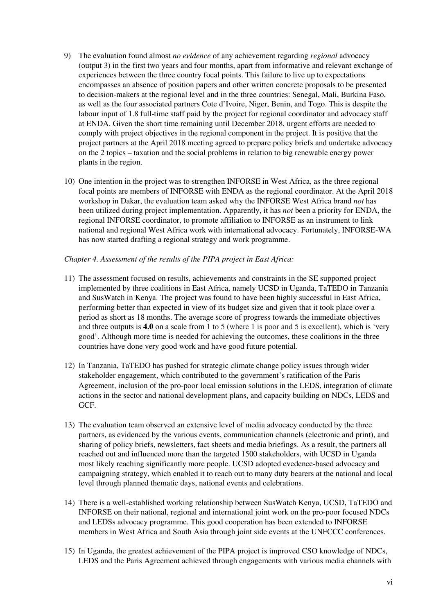- 9) The evaluation found almost *no evidence* of any achievement regarding *regional* advocacy (output 3) in the first two years and four months, apart from informative and relevant exchange of experiences between the three country focal points. This failure to live up to expectations encompasses an absence of position papers and other written concrete proposals to be presented to decision-makers at the regional level and in the three countries: Senegal, Mali, Burkina Faso, as well as the four associated partners Cote d'Ivoire, Niger, Benin, and Togo. This is despite the labour input of 1.8 full-time staff paid by the project for regional coordinator and advocacy staff at ENDA. Given the short time remaining until December 2018, urgent efforts are needed to comply with project objectives in the regional component in the project. It is positive that the project partners at the April 2018 meeting agreed to prepare policy briefs and undertake advocacy on the 2 topics – taxation and the social problems in relation to big renewable energy power plants in the region.
- 10) One intention in the project was to strengthen INFORSE in West Africa, as the three regional focal points are members of INFORSE with ENDA as the regional coordinator. At the April 2018 workshop in Dakar, the evaluation team asked why the INFORSE West Africa brand *not* has been utilized during project implementation. Apparently, it has *not* been a priority for ENDA, the regional INFORSE coordinator, to promote affiliation to INFORSE as an instrument to link national and regional West Africa work with international advocacy. Fortunately, INFORSE-WA has now started drafting a regional strategy and work programme.

#### *Chapter 4. Assessment of the results of the PIPA project in East Africa:*

- 11) The assessment focused on results, achievements and constraints in the SE supported project implemented by three coalitions in East Africa, namely UCSD in Uganda, TaTEDO in Tanzania and SusWatch in Kenya. The project was found to have been highly successful in East Africa, performing better than expected in view of its budget size and given that it took place over a period as short as 18 months. The average score of progress towards the immediate objectives and three outputs is **4.0** on a scale from 1 to 5 (where 1 is poor and 5 is excellent), which is 'very good'. Although more time is needed for achieving the outcomes, these coalitions in the three countries have done very good work and have good future potential.
- 12) In Tanzania, TaTEDO has pushed for strategic climate change policy issues through wider stakeholder engagement, which contributed to the government's ratification of the Paris Agreement, inclusion of the pro-poor local emission solutions in the LEDS, integration of climate actions in the sector and national development plans, and capacity building on NDCs, LEDS and GCF.
- 13) The evaluation team observed an extensive level of media advocacy conducted by the three partners, as evidenced by the various events, communication channels (electronic and print), and sharing of policy briefs, newsletters, fact sheets and media briefings. As a result, the partners all reached out and influenced more than the targeted 1500 stakeholders, with UCSD in Uganda most likely reaching significantly more people. UCSD adopted evedence-based advocacy and campaigning strategy, which enabled it to reach out to many duty bearers at the national and local level through planned thematic days, national events and celebrations.
- 14) There is a well-established working relationship between SusWatch Kenya, UCSD, TaTEDO and INFORSE on their national, regional and international joint work on the pro-poor focused NDCs and LEDSs advocacy programme. This good cooperation has been extended to INFORSE members in West Africa and South Asia through joint side events at the UNFCCC conferences.
- 15) In Uganda, the greatest achievement of the PIPA project is improved CSO knowledge of NDCs, LEDS and the Paris Agreement achieved through engagements with various media channels with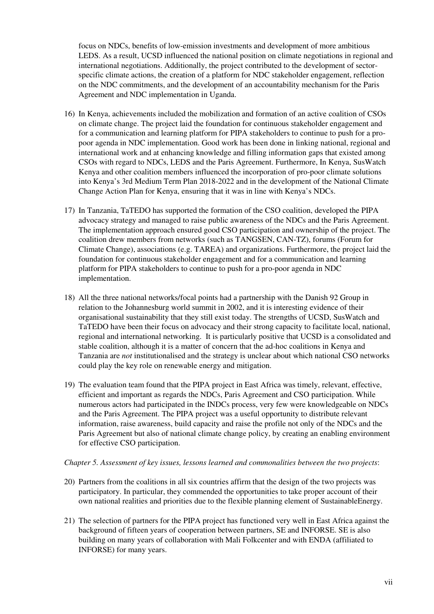focus on NDCs, benefits of low-emission investments and development of more ambitious LEDS. As a result, UCSD influenced the national position on climate negotiations in regional and international negotiations. Additionally, the project contributed to the development of sectorspecific climate actions, the creation of a platform for NDC stakeholder engagement, reflection on the NDC commitments, and the development of an accountability mechanism for the Paris Agreement and NDC implementation in Uganda.

- 16) In Kenya, achievements included the mobilization and formation of an active coalition of CSOs on climate change. The project laid the foundation for continuous stakeholder engagement and for a communication and learning platform for PIPA stakeholders to continue to push for a propoor agenda in NDC implementation. Good work has been done in linking national, regional and international work and at enhancing knowledge and filling information gaps that existed among CSOs with regard to NDCs, LEDS and the Paris Agreement. Furthermore, In Kenya, SusWatch Kenya and other coalition members influenced the incorporation of pro-poor climate solutions into Kenya's 3rd Medium Term Plan 2018-2022 and in the development of the National Climate Change Action Plan for Kenya, ensuring that it was in line with Kenya's NDCs.
- 17) In Tanzania, TaTEDO has supported the formation of the CSO coalition, developed the PIPA advocacy strategy and managed to raise public awareness of the NDCs and the Paris Agreement. The implementation approach ensured good CSO participation and ownership of the project. The coalition drew members from networks (such as TANGSEN, CAN-TZ), forums (Forum for Climate Change), associations (e.g. TAREA) and organizations. Furthermore, the project laid the foundation for continuous stakeholder engagement and for a communication and learning platform for PIPA stakeholders to continue to push for a pro-poor agenda in NDC implementation.
- 18) All the three national networks/focal points had a partnership with the Danish 92 Group in relation to the Johannesburg world summit in 2002, and it is interesting evidence of their organisational sustainability that they still exist today. The strengths of UCSD, SusWatch and TaTEDO have been their focus on advocacy and their strong capacity to facilitate local, national, regional and international networking. It is particularly positive that UCSD is a consolidated and stable coalition, although it is a matter of concern that the ad-hoc coalitions in Kenya and Tanzania are *not* institutionalised and the strategy is unclear about which national CSO networks could play the key role on renewable energy and mitigation.
- 19) The evaluation team found that the PIPA project in East Africa was timely, relevant, effective, efficient and important as regards the NDCs, Paris Agreement and CSO participation. While numerous actors had participated in the INDCs process, very few were knowledgeable on NDCs and the Paris Agreement. The PIPA project was a useful opportunity to distribute relevant information, raise awareness, build capacity and raise the profile not only of the NDCs and the Paris Agreement but also of national climate change policy, by creating an enabling environment for effective CSO participation.

#### *Chapter 5. Assessment of key issues, lessons learned and commonalities between the two projects*:

- 20) Partners from the coalitions in all six countries affirm that the design of the two projects was participatory. In particular, they commended the opportunities to take proper account of their own national realities and priorities due to the flexible planning element of SustainableEnergy.
- 21) The selection of partners for the PIPA project has functioned very well in East Africa against the background of fifteen years of cooperation between partners, SE and INFORSE. SE is also building on many years of collaboration with Mali Folkcenter and with ENDA (affiliated to INFORSE) for many years.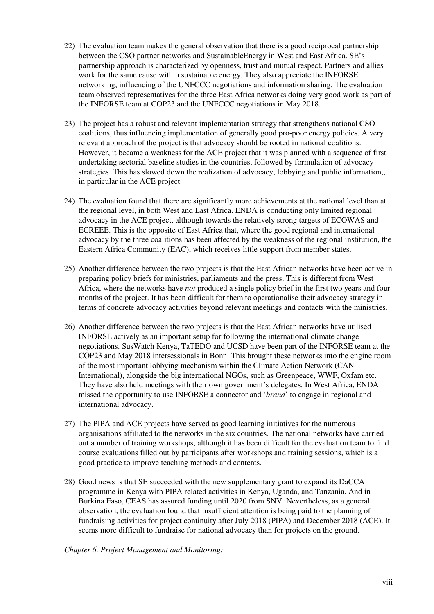- 22) The evaluation team makes the general observation that there is a good reciprocal partnership between the CSO partner networks and SustainableEnergy in West and East Africa. SE's partnership approach is characterized by openness, trust and mutual respect. Partners and allies work for the same cause within sustainable energy. They also appreciate the INFORSE networking, influencing of the UNFCCC negotiations and information sharing. The evaluation team observed representatives for the three East Africa networks doing very good work as part of the INFORSE team at COP23 and the UNFCCC negotiations in May 2018.
- 23) The project has a robust and relevant implementation strategy that strengthens national CSO coalitions, thus influencing implementation of generally good pro-poor energy policies. A very relevant approach of the project is that advocacy should be rooted in national coalitions. However, it became a weakness for the ACE project that it was planned with a sequence of first undertaking sectorial baseline studies in the countries, followed by formulation of advocacy strategies. This has slowed down the realization of advocacy, lobbying and public information,, in particular in the ACE project.
- 24) The evaluation found that there are significantly more achievements at the national level than at the regional level, in both West and East Africa. ENDA is conducting only limited regional advocacy in the ACE project, although towards the relatively strong targets of ECOWAS and ECREEE. This is the opposite of East Africa that, where the good regional and international advocacy by the three coalitions has been affected by the weakness of the regional institution, the Eastern Africa Community (EAC), which receives little support from member states.
- 25) Another difference between the two projects is that the East African networks have been active in preparing policy briefs for ministries, parliaments and the press. This is different from West Africa, where the networks have *not* produced a single policy brief in the first two years and four months of the project. It has been difficult for them to operationalise their advocacy strategy in terms of concrete advocacy activities beyond relevant meetings and contacts with the ministries.
- 26) Another difference between the two projects is that the East African networks have utilised INFORSE actively as an important setup for following the international climate change negotiations. SusWatch Kenya, TaTEDO and UCSD have been part of the INFORSE team at the COP23 and May 2018 intersessionals in Bonn. This brought these networks into the engine room of the most important lobbying mechanism within the Climate Action Network (CAN International), alongside the big international NGOs, such as Greenpeace, WWF, Oxfam etc. They have also held meetings with their own government's delegates. In West Africa, ENDA missed the opportunity to use INFORSE a connector and '*brand*' to engage in regional and international advocacy.
- 27) The PIPA and ACE projects have served as good learning initiatives for the numerous organisations affiliated to the networks in the six countries. The national networks have carried out a number of training workshops, although it has been difficult for the evaluation team to find course evaluations filled out by participants after workshops and training sessions, which is a good practice to improve teaching methods and contents.
- 28) Good news is that SE succeeded with the new supplementary grant to expand its DaCCA programme in Kenya with PIPA related activities in Kenya, Uganda, and Tanzania. And in Burkina Faso, CEAS has assured funding until 2020 from SNV. Nevertheless, as a general observation, the evaluation found that insufficient attention is being paid to the planning of fundraising activities for project continuity after July 2018 (PIPA) and December 2018 (ACE). It seems more difficult to fundraise for national advocacy than for projects on the ground.

*Chapter 6. Project Management and Monitoring:*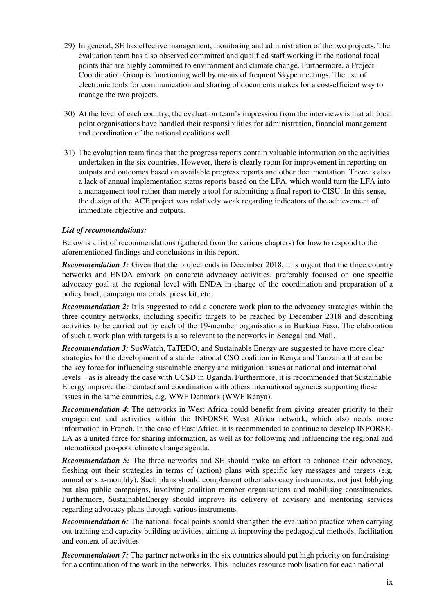- 29) In general, SE has effective management, monitoring and administration of the two projects. The evaluation team has also observed committed and qualified staff working in the national focal points that are highly committed to environment and climate change. Furthermore, a Project Coordination Group is functioning well by means of frequent Skype meetings. The use of electronic tools for communication and sharing of documents makes for a cost-efficient way to manage the two projects.
- 30) At the level of each country, the evaluation team's impression from the interviews is that all focal point organisations have handled their responsibilities for administration, financial management and coordination of the national coalitions well.
- 31) The evaluation team finds that the progress reports contain valuable information on the activities undertaken in the six countries. However, there is clearly room for improvement in reporting on outputs and outcomes based on available progress reports and other documentation. There is also a lack of annual implementation status reports based on the LFA, which would turn the LFA into a management tool rather than merely a tool for submitting a final report to CISU. In this sense, the design of the ACE project was relatively weak regarding indicators of the achievement of immediate objective and outputs.

#### *List of recommendations:*

Below is a list of recommendations (gathered from the various chapters) for how to respond to the aforementioned findings and conclusions in this report.

*Recommendation 1:* Given that the project ends in December 2018, it is urgent that the three country networks and ENDA embark on concrete advocacy activities, preferably focused on one specific advocacy goal at the regional level with ENDA in charge of the coordination and preparation of a policy brief, campaign materials, press kit, etc.

*Recommendation 2:* It is suggested to add a concrete work plan to the advocacy strategies within the three country networks, including specific targets to be reached by December 2018 and describing activities to be carried out by each of the 19-member organisations in Burkina Faso. The elaboration of such a work plan with targets is also relevant to the networks in Senegal and Mali.

*Recommendation 3:* SusWatch, TaTEDO, and Sustainable Energy are suggested to have more clear strategies for the development of a stable national CSO coalition in Kenya and Tanzania that can be the key force for influencing sustainable energy and mitigation issues at national and international levels – as is already the case with UCSD in Uganda. Furthermore, it is recommended that Sustainable Energy improve their contact and coordination with others international agencies supporting these issues in the same countries, e.g. WWF Denmark (WWF Kenya).

*Recommendation 4*: The networks in West Africa could benefit from giving greater priority to their engagement and activities within the INFORSE West Africa network, which also needs more information in French. In the case of East Africa, it is recommended to continue to develop INFORSE-EA as a united force for sharing information, as well as for following and influencing the regional and international pro-poor climate change agenda.

**Recommendation 5:** The three networks and SE should make an effort to enhance their advocacy, fleshing out their strategies in terms of (action) plans with specific key messages and targets (e.g. annual or six-monthly). Such plans should complement other advocacy instruments, not just lobbying but also public campaigns, involving coalition member organisations and mobilising constituencies. Furthermore, SustainableEnergy should improve its delivery of advisory and mentoring services regarding advocacy plans through various instruments.

*Recommendation 6:* The national focal points should strengthen the evaluation practice when carrying out training and capacity building activities, aiming at improving the pedagogical methods, facilitation and content of activities.

*Recommendation 7:* The partner networks in the six countries should put high priority on fundraising for a continuation of the work in the networks. This includes resource mobilisation for each national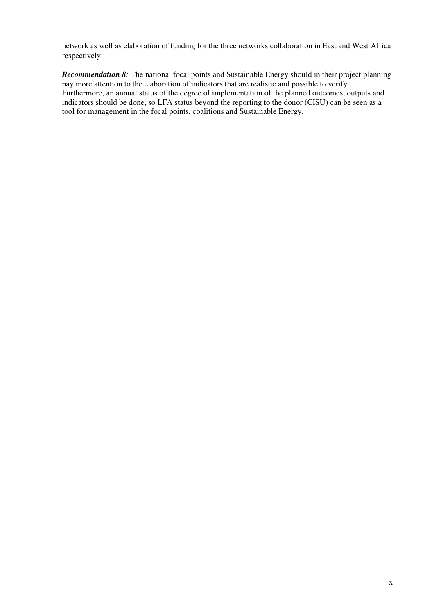network as well as elaboration of funding for the three networks collaboration in East and West Africa respectively.

*Recommendation 8:* The national focal points and Sustainable Energy should in their project planning pay more attention to the elaboration of indicators that are realistic and possible to verify. Furthermore, an annual status of the degree of implementation of the planned outcomes, outputs and indicators should be done, so LFA status beyond the reporting to the donor (CISU) can be seen as a tool for management in the focal points, coalitions and Sustainable Energy.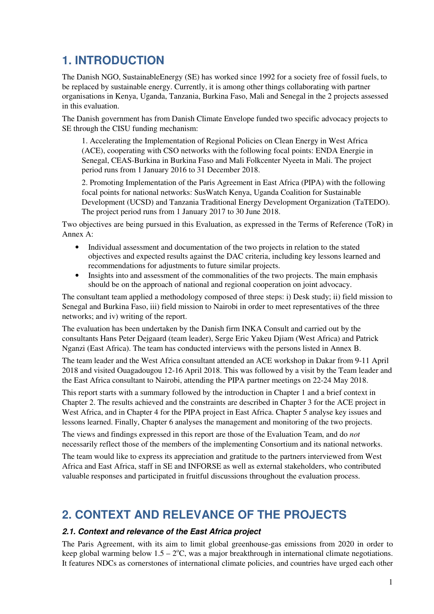# **1. INTRODUCTION**

The Danish NGO, SustainableEnergy (SE) has worked since 1992 for a society free of fossil fuels, to be replaced by sustainable energy. Currently, it is among other things collaborating with partner organisations in Kenya, Uganda, Tanzania, Burkina Faso, Mali and Senegal in the 2 projects assessed in this evaluation.

The Danish government has from Danish Climate Envelope funded two specific advocacy projects to SE through the CISU funding mechanism:

1. Accelerating the Implementation of Regional Policies on Clean Energy in West Africa (ACE), cooperating with CSO networks with the following focal points: ENDA Energie in Senegal, CEAS-Burkina in Burkina Faso and Mali Folkcenter Nyeeta in Mali. The project period runs from 1 January 2016 to 31 December 2018.

2. Promoting Implementation of the Paris Agreement in East Africa (PIPA) with the following focal points for national networks: SusWatch Kenya, Uganda Coalition for Sustainable Development (UCSD) and Tanzania Traditional Energy Development Organization (TaTEDO). The project period runs from 1 January 2017 to 30 June 2018.

Two objectives are being pursued in this Evaluation, as expressed in the Terms of Reference (ToR) in Annex A:

- Individual assessment and documentation of the two projects in relation to the stated objectives and expected results against the DAC criteria, including key lessons learned and recommendations for adjustments to future similar projects.
- Insights into and assessment of the commonalities of the two projects. The main emphasis should be on the approach of national and regional cooperation on joint advocacy.

The consultant team applied a methodology composed of three steps: i) Desk study; ii) field mission to Senegal and Burkina Faso, iii) field mission to Nairobi in order to meet representatives of the three networks; and iv) writing of the report.

The evaluation has been undertaken by the Danish firm INKA Consult and carried out by the consultants Hans Peter Dejgaard (team leader), Serge Eric Yakeu Djiam (West Africa) and Patrick Nganzi (East Africa). The team has conducted interviews with the persons listed in Annex B.

The team leader and the West Africa consultant attended an ACE workshop in Dakar from 9-11 April 2018 and visited Ouagadougou 12-16 April 2018. This was followed by a visit by the Team leader and the East Africa consultant to Nairobi, attending the PIPA partner meetings on 22-24 May 2018.

This report starts with a summary followed by the introduction in Chapter 1 and a brief context in Chapter 2. The results achieved and the constraints are described in Chapter 3 for the ACE project in West Africa, and in Chapter 4 for the PIPA project in East Africa. Chapter 5 analyse key issues and lessons learned. Finally, Chapter 6 analyses the management and monitoring of the two projects.

The views and findings expressed in this report are those of the Evaluation Team, and do *not* necessarily reflect those of the members of the implementing Consortium and its national networks.

The team would like to express its appreciation and gratitude to the partners interviewed from West Africa and East Africa, staff in SE and INFORSE as well as external stakeholders, who contributed valuable responses and participated in fruitful discussions throughout the evaluation process.

# **2. CONTEXT AND RELEVANCE OF THE PROJECTS**

#### **2.1. Context and relevance of the East Africa project**

The Paris Agreement, with its aim to limit global greenhouse-gas emissions from 2020 in order to keep global warming below  $1.5 - 2^{\circ}C$ , was a major breakthrough in international climate negotiations. It features NDCs as cornerstones of international climate policies, and countries have urged each other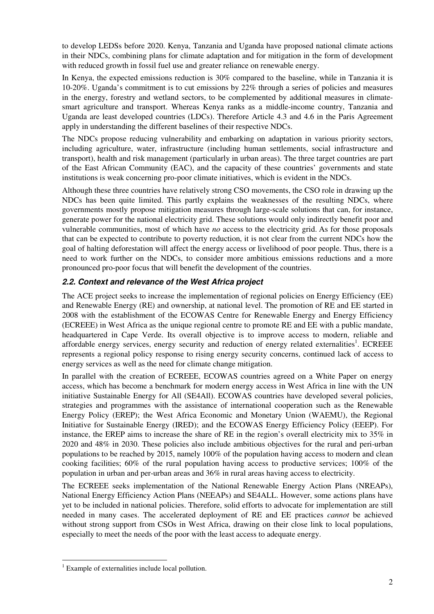to develop LEDSs before 2020. Kenya, Tanzania and Uganda have proposed national climate actions in their NDCs, combining plans for climate adaptation and for mitigation in the form of development with reduced growth in fossil fuel use and greater reliance on renewable energy.

In Kenya, the expected emissions reduction is 30% compared to the baseline, while in Tanzania it is 10-20%. Uganda's commitment is to cut emissions by 22% through a series of policies and measures in the energy, forestry and wetland sectors, to be complemented by additional measures in climatesmart agriculture and transport. Whereas Kenya ranks as a middle-income country, Tanzania and Uganda are least developed countries (LDCs). Therefore Article 4.3 and 4.6 in the Paris Agreement apply in understanding the different baselines of their respective NDCs.

The NDCs propose reducing vulnerability and embarking on adaptation in various priority sectors, including agriculture, water, infrastructure (including human settlements, social infrastructure and transport), health and risk management (particularly in urban areas). The three target countries are part of the East African Community (EAC), and the capacity of these countries' governments and state institutions is weak concerning pro-poor climate initiatives, which is evident in the NDCs.

Although these three countries have relatively strong CSO movements, the CSO role in drawing up the NDCs has been quite limited. This partly explains the weaknesses of the resulting NDCs, where governments mostly propose mitigation measures through large-scale solutions that can, for instance, generate power for the national electricity grid. These solutions would only indirectly benefit poor and vulnerable communities, most of which have *no* access to the electricity grid. As for those proposals that can be expected to contribute to poverty reduction, it is not clear from the current NDCs how the goal of halting deforestation will affect the energy access or livelihood of poor people. Thus, there is a need to work further on the NDCs, to consider more ambitious emissions reductions and a more pronounced pro-poor focus that will benefit the development of the countries.

### **2.2. Context and relevance of the West Africa project**

The ACE project seeks to increase the implementation of regional policies on Energy Efficiency (EE) and Renewable Energy (RE) and ownership, at national level. The promotion of RE and EE started in 2008 with the establishment of the ECOWAS Centre for Renewable Energy and Energy Efficiency (ECREEE) in West Africa as the unique regional centre to promote RE and EE with a public mandate, headquartered in Cape Verde. Its overall objective is to improve access to modern, reliable and affordable energy services, energy security and reduction of energy related externalities<sup>1</sup>. ECREEE represents a regional policy response to rising energy security concerns, continued lack of access to energy services as well as the need for climate change mitigation.

In parallel with the creation of ECREEE, ECOWAS countries agreed on a White Paper on energy access, which has become a benchmark for modern energy access in West Africa in line with the UN initiative Sustainable Energy for All (SE4All). ECOWAS countries have developed several policies, strategies and programmes with the assistance of international cooperation such as the Renewable Energy Policy (EREP); the West Africa Economic and Monetary Union (WAEMU), the Regional Initiative for Sustainable Energy (IRED); and the ECOWAS Energy Efficiency Policy (EEEP). For instance, the EREP aims to increase the share of RE in the region's overall electricity mix to 35% in 2020 and 48% in 2030. These policies also include ambitious objectives for the rural and peri-urban populations to be reached by 2015, namely 100% of the population having access to modern and clean cooking facilities; 60% of the rural population having access to productive services; 100% of the population in urban and per-urban areas and 36% in rural areas having access to electricity.

The ECREEE seeks implementation of the National Renewable Energy Action Plans (NREAPs), National Energy Efficiency Action Plans (NEEAPs) and SE4ALL. However, some actions plans have yet to be included in national policies. Therefore, solid efforts to advocate for implementation are still needed in many cases. The accelerated deployment of RE and EE practices *cannot* be achieved without strong support from CSOs in West Africa, drawing on their close link to local populations, especially to meet the needs of the poor with the least access to adequate energy.

 $\overline{a}$ 

<sup>&</sup>lt;sup>1</sup> Example of externalities include local pollution.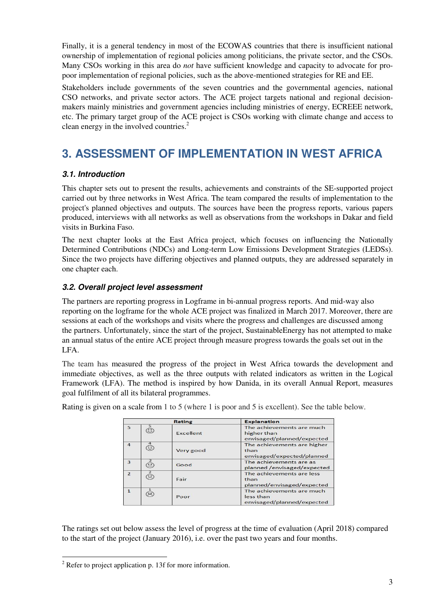Finally, it is a general tendency in most of the ECOWAS countries that there is insufficient national ownership of implementation of regional policies among politicians, the private sector, and the CSOs. Many CSOs working in this area do *not* have sufficient knowledge and capacity to advocate for propoor implementation of regional policies, such as the above-mentioned strategies for RE and EE.

Stakeholders include governments of the seven countries and the governmental agencies, national CSO networks, and private sector actors. The ACE project targets national and regional decisionmakers mainly ministries and government agencies including ministries of energy, ECREEE network, etc. The primary target group of the ACE project is CSOs working with climate change and access to clean energy in the involved countries. $2$ 

# **3. ASSESSMENT OF IMPLEMENTATION IN WEST AFRICA**

### **3.1. Introduction**

This chapter sets out to present the results, achievements and constraints of the SE-supported project carried out by three networks in West Africa. The team compared the results of implementation to the project's planned objectives and outputs. The sources have been the progress reports, various papers produced, interviews with all networks as well as observations from the workshops in Dakar and field visits in Burkina Faso.

The next chapter looks at the East Africa project, which focuses on influencing the Nationally Determined Contributions (NDCs) and Long-term Low Emissions Development Strategies (LEDSs). Since the two projects have differing objectives and planned outputs, they are addressed separately in one chapter each.

### **3.2. Overall project level assessment**

The partners are reporting progress in Logframe in bi-annual progress reports. And mid-way also reporting on the logframe for the whole ACE project was finalized in March 2017. Moreover, there are sessions at each of the workshops and visits where the progress and challenges are discussed among the partners. Unfortunately, since the start of the project, SustainableEnergy has not attempted to make an annual status of the entire ACE project through measure progress towards the goals set out in the LFA.

The team has measured the progress of the project in West Africa towards the development and immediate objectives, as well as the three outputs with related indicators as written in the Logical Framework (LFA). The method is inspired by how Danida, in its overall Annual Report, measures goal fulfilment of all its bilateral programmes.

|                |   | <b>Rating</b> | <b>Explanation</b>                                                     |
|----------------|---|---------------|------------------------------------------------------------------------|
| 5              |   | Excellent     | The achievements are much<br>higher than<br>envisaged/planned/expected |
| $\overline{4}$ | € | Very good     | The achievements are higher<br>than<br>envisaged/expected/planned      |
| 3              |   | Good          | The achievements are as<br>planned /envisaged/expected                 |
| $\overline{2}$ | ౕ | Fair          | The achievements are less<br>than<br>planned/envisaged/expected        |
| $\mathbf{1}$   |   | Poor          | The achievements are much<br>less than<br>envisaged/planned/expected   |

Rating is given on a scale from 1 to 5 (where 1 is poor and 5 is excellent). See the table below.

The ratings set out below assess the level of progress at the time of evaluation (April 2018) compared to the start of the project (January 2016), i.e. over the past two years and four months.

<sup>&</sup>lt;sup>2</sup> Refer to project application p. 13f for more information.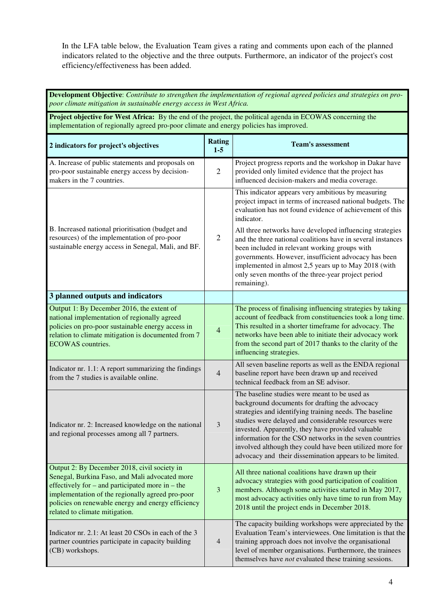In the LFA table below, the Evaluation Team gives a rating and comments upon each of the planned indicators related to the objective and the three outputs. Furthermore, an indicator of the project's cost efficiency/effectiveness has been added.

| Development Objective: Contribute to strengthen the implementation of regional agreed policies and strategies on pro-<br>poor climate mitigation in sustainable energy access in West Africa.                                                                                                      |                          |                                                                                                                                                                                                                                                                                                                                                                                                                                                           |  |
|----------------------------------------------------------------------------------------------------------------------------------------------------------------------------------------------------------------------------------------------------------------------------------------------------|--------------------------|-----------------------------------------------------------------------------------------------------------------------------------------------------------------------------------------------------------------------------------------------------------------------------------------------------------------------------------------------------------------------------------------------------------------------------------------------------------|--|
| Project objective for West Africa: By the end of the project, the political agenda in ECOWAS concerning the<br>implementation of regionally agreed pro-poor climate and energy policies has improved.                                                                                              |                          |                                                                                                                                                                                                                                                                                                                                                                                                                                                           |  |
| 2 indicators for project's objectives                                                                                                                                                                                                                                                              | <b>Rating</b><br>$1 - 5$ | <b>Team's assessment</b>                                                                                                                                                                                                                                                                                                                                                                                                                                  |  |
| A. Increase of public statements and proposals on<br>pro-poor sustainable energy access by decision-<br>makers in the 7 countries.                                                                                                                                                                 | $\mathfrak{2}$           | Project progress reports and the workshop in Dakar have<br>provided only limited evidence that the project has<br>influenced decision-makers and media coverage.                                                                                                                                                                                                                                                                                          |  |
|                                                                                                                                                                                                                                                                                                    |                          | This indicator appears very ambitious by measuring<br>project impact in terms of increased national budgets. The<br>evaluation has not found evidence of achievement of this<br>indicator.                                                                                                                                                                                                                                                                |  |
| B. Increased national prioritisation (budget and<br>resources) of the implementation of pro-poor<br>sustainable energy access in Senegal, Mali, and BF.                                                                                                                                            | $\mathfrak{2}$           | All three networks have developed influencing strategies<br>and the three national coalitions have in several instances<br>been included in relevant working groups with<br>governments. However, insufficient advocacy has been<br>implemented in almost 2,5 years up to May 2018 (with<br>only seven months of the three-year project period<br>remaining).                                                                                             |  |
| 3 planned outputs and indicators                                                                                                                                                                                                                                                                   |                          |                                                                                                                                                                                                                                                                                                                                                                                                                                                           |  |
| Output 1: By December 2016, the extent of<br>national implementation of regionally agreed<br>policies on pro-poor sustainable energy access in<br>relation to climate mitigation is documented from 7<br><b>ECOWAS</b> countries.                                                                  | $\overline{4}$           | The process of finalising influencing strategies by taking<br>account of feedback from constituencies took a long time.<br>This resulted in a shorter timeframe for advocacy. The<br>networks have been able to initiate their advocacy work<br>from the second part of 2017 thanks to the clarity of the<br>influencing strategies.                                                                                                                      |  |
| Indicator nr. 1.1: A report summarizing the findings<br>from the 7 studies is available online.                                                                                                                                                                                                    | $\overline{4}$           | All seven baseline reports as well as the ENDA regional<br>baseline report have been drawn up and received<br>technical feedback from an SE advisor.                                                                                                                                                                                                                                                                                                      |  |
| Indicator nr. 2: Increased knowledge on the national<br>and regional processes among all 7 partners.                                                                                                                                                                                               | $\mathfrak{Z}$           | The baseline studies were meant to be used as<br>background documents for drafting the advocacy<br>strategies and identifying training needs. The baseline<br>studies were delayed and considerable resources were<br>invested. Apparently, they have provided valuable<br>information for the CSO networks in the seven countries<br>involved although they could have been utilized more for<br>advocacy and their dissemination appears to be limited. |  |
| Output 2: By December 2018, civil society in<br>Senegal, Burkina Faso, and Mali advocated more<br>effectively for $-$ and participated more in $-$ the<br>implementation of the regionally agreed pro-poor<br>policies on renewable energy and energy efficiency<br>related to climate mitigation. | 3                        | All three national coalitions have drawn up their<br>advocacy strategies with good participation of coalition<br>members. Although some activities started in May 2017,<br>most advocacy activities only have time to run from May<br>2018 until the project ends in December 2018.                                                                                                                                                                       |  |
| Indicator nr. 2.1: At least 20 CSOs in each of the 3<br>partner countries participate in capacity building<br>(CB) workshops.                                                                                                                                                                      | $\overline{4}$           | The capacity building workshops were appreciated by the<br>Evaluation Team's interviewees. One limitation is that the<br>training approach does not involve the organisational<br>level of member organisations. Furthermore, the trainees<br>themselves have not evaluated these training sessions.                                                                                                                                                      |  |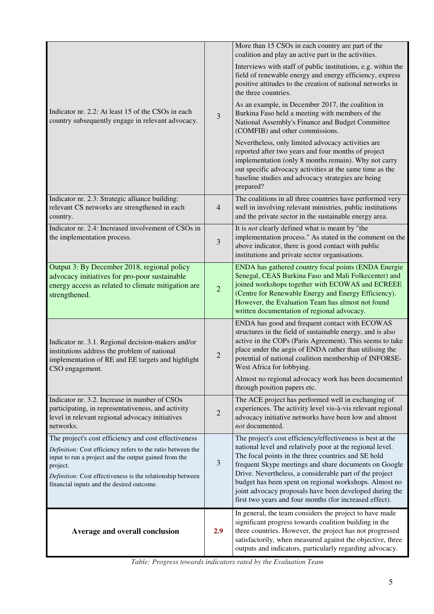|                                                                                                                                                                                                                                                                                                     |                | More than 15 CSOs in each country are part of the<br>coalition and play an active part in the activities.                                                                                                                                                                                                                                                                                                                                                                          |
|-----------------------------------------------------------------------------------------------------------------------------------------------------------------------------------------------------------------------------------------------------------------------------------------------------|----------------|------------------------------------------------------------------------------------------------------------------------------------------------------------------------------------------------------------------------------------------------------------------------------------------------------------------------------------------------------------------------------------------------------------------------------------------------------------------------------------|
|                                                                                                                                                                                                                                                                                                     |                | Interviews with staff of public institutions, e.g. within the<br>field of renewable energy and energy efficiency, express<br>positive attitudes to the creation of national networks in<br>the three countries.                                                                                                                                                                                                                                                                    |
| Indicator nr. 2.2: At least 15 of the CSOs in each<br>country subsequently engage in relevant advocacy.                                                                                                                                                                                             | 3              | As an example, in December 2017, the coalition in<br>Burkina Faso held a meeting with members of the<br>National Assembly's Finance and Budget Committee<br>(COMFIB) and other commissions.                                                                                                                                                                                                                                                                                        |
|                                                                                                                                                                                                                                                                                                     |                | Nevertheless, only limited advocacy activities are<br>reported after two years and four months of project<br>implementation (only 8 months remain). Why not carry<br>out specific advocacy activities at the same time as the<br>baseline studies and advocacy strategies are being<br>prepared?                                                                                                                                                                                   |
| Indicator nr. 2.3: Strategic alliance building:<br>relevant CS networks are strengthened in each<br>country.                                                                                                                                                                                        | $\overline{4}$ | The coalitions in all three countries have performed very<br>well in involving relevant ministries, public institutions<br>and the private sector in the sustainable energy area.                                                                                                                                                                                                                                                                                                  |
| Indicator nr. 2.4: Increased involvement of CSOs in<br>the implementation process.                                                                                                                                                                                                                  | 3              | It is <i>not</i> clearly defined what is meant by "the<br>implementation process." As stated in the comment on the<br>above indicator, there is good contact with public<br>institutions and private sector organisations.                                                                                                                                                                                                                                                         |
| Output 3: By December 2018, regional policy<br>advocacy initiatives for pro-poor sustainable<br>energy access as related to climate mitigation are<br>strengthened.                                                                                                                                 | $\overline{2}$ | ENDA has gathered country focal points (ENDA Energie<br>Senegal, CEAS Burkina Faso and Mali Folkecenter) and<br>joined workshops together with ECOWAS and ECREEE<br>(Centre for Renewable Energy and Energy Efficiency).<br>However, the Evaluation Team has almost not found<br>written documentation of regional advocacy.                                                                                                                                                       |
| Indicator nr. 3.1. Regional decision-makers and/or<br>institutions address the problem of national<br>implementation of RE and EE targets and highlight<br>CSO engagement.                                                                                                                          | $\overline{2}$ | ENDA has good and frequent contact with ECOWAS<br>structures in the field of sustainable energy, and is also<br>active in the COPs (Paris Agreement). This seems to take<br>place under the aegis of ENDA rather than utilising the<br>potential of national coalition membership of INFORSE-<br>West Africa for lobbying.                                                                                                                                                         |
|                                                                                                                                                                                                                                                                                                     |                | Almost no regional advocacy work has been documented<br>through position papers etc.                                                                                                                                                                                                                                                                                                                                                                                               |
| Indicator nr. 3.2. Increase in number of CSOs<br>participating, in representativeness, and activity<br>level in relevant regional advocacy initiatives<br>networks.                                                                                                                                 | $\overline{2}$ | The ACE project has performed well in exchanging of<br>experiences. The activity level vis-à-vis relevant regional<br>advocacy initiative networks have been low and almost<br>not documented.                                                                                                                                                                                                                                                                                     |
| The project's cost efficiency and cost effectiveness<br>Definition: Cost efficiency refers to the ratio between the<br>input to run a project and the output gained from the<br>project.<br>Definition: Cost effectiveness is the relationship between<br>financial inputs and the desired outcome. | 3              | The project's cost efficiency/effectiveness is best at the<br>national level and relatively poor at the regional level.<br>The focal points in the three countries and SE hold<br>frequent Skype meetings and share documents on Google<br>Drive. Nevertheless, a considerable part of the project<br>budget has been spent on regional workshops. Almost no<br>joint advocacy proposals have been developed during the<br>first two years and four months (for increased effect). |
| Average and overall conclusion                                                                                                                                                                                                                                                                      | 2.9            | In general, the team considers the project to have made<br>significant progress towards coalition building in the<br>three countries. However, the project has not progressed<br>satisfactorily, when measured against the objective, three<br>outputs and indicators, particularly regarding advocacy.                                                                                                                                                                            |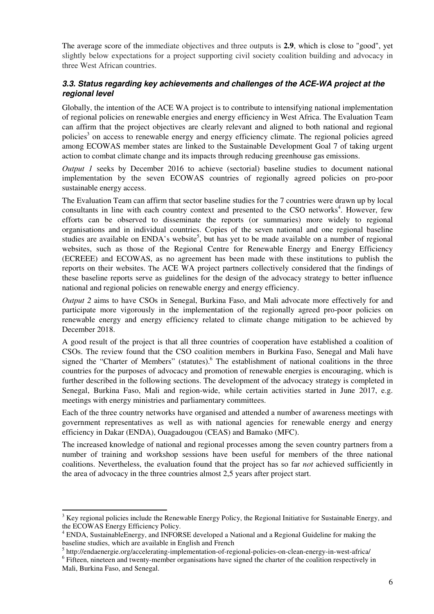The average score of the immediate objectives and three outputs is **2.9**, which is close to "good", yet slightly below expectations for a project supporting civil society coalition building and advocacy in three West African countries.

### **3.3. Status regarding key achievements and challenges of the ACE-WA project at the regional level**

Globally, the intention of the ACE WA project is to contribute to intensifying national implementation of regional policies on renewable energies and energy efficiency in West Africa. The Evaluation Team can affirm that the project objectives are clearly relevant and aligned to both national and regional policies<sup>3</sup> on access to renewable energy and energy efficiency climate. The regional policies agreed among ECOWAS member states are linked to the Sustainable Development Goal 7 of taking urgent action to combat climate change and its impacts through reducing greenhouse gas emissions.

*Output 1* seeks by December 2016 to achieve (sectorial) baseline studies to document national implementation by the seven ECOWAS countries of regionally agreed policies on pro-poor sustainable energy access.

The Evaluation Team can affirm that sector baseline studies for the 7 countries were drawn up by local consultants in line with each country context and presented to the CSO networks<sup>4</sup>. However, few efforts can be observed to disseminate the reports (or summaries) more widely to regional organisations and in individual countries. Copies of the seven national and one regional baseline studies are available on ENDA's website<sup>5</sup>, but has yet to be made available on a number of regional websites, such as those of the Regional Centre for Renewable Energy and Energy Efficiency (ECREEE) and ECOWAS, as no agreement has been made with these institutions to publish the reports on their websites. The ACE WA project partners collectively considered that the findings of these baseline reports serve as guidelines for the design of the advocacy strategy to better influence national and regional policies on renewable energy and energy efficiency.

*Output 2* aims to have CSOs in Senegal, Burkina Faso, and Mali advocate more effectively for and participate more vigorously in the implementation of the regionally agreed pro-poor policies on renewable energy and energy efficiency related to climate change mitigation to be achieved by December 2018.

A good result of the project is that all three countries of cooperation have established a coalition of CSOs. The review found that the CSO coalition members in Burkina Faso, Senegal and Mali have signed the "Charter of Members" (statutes). The establishment of national coalitions in the three countries for the purposes of advocacy and promotion of renewable energies is encouraging, which is further described in the following sections. The development of the advocacy strategy is completed in Senegal, Burkina Faso, Mali and region-wide, while certain activities started in June 2017, e.g. meetings with energy ministries and parliamentary committees.

Each of the three country networks have organised and attended a number of awareness meetings with government representatives as well as with national agencies for renewable energy and energy efficiency in Dakar (ENDA), Ouagadougou (CEAS) and Bamako (MFC).

The increased knowledge of national and regional processes among the seven country partners from a number of training and workshop sessions have been useful for members of the three national coalitions. Nevertheless, the evaluation found that the project has so far *not* achieved sufficiently in the area of advocacy in the three countries almost 2,5 years after project start.

 $\overline{a}$ 

 $3$  Key regional policies include the Renewable Energy Policy, the Regional Initiative for Sustainable Energy, and the ECOWAS Energy Efficiency Policy.

<sup>&</sup>lt;sup>4</sup> ENDA, SustainableEnergy, and INFORSE developed a National and a Regional Guideline for making the baseline studies, which are available in English and French

<sup>&</sup>lt;sup>5</sup> http://endaenergie.org/accelerating-implementation-of-regional-policies-on-clean-energy-in-west-africa/

<sup>&</sup>lt;sup>6</sup> Fifteen, nineteen and twenty-member organisations have signed the charter of the coalition respectively in Mali, Burkina Faso, and Senegal.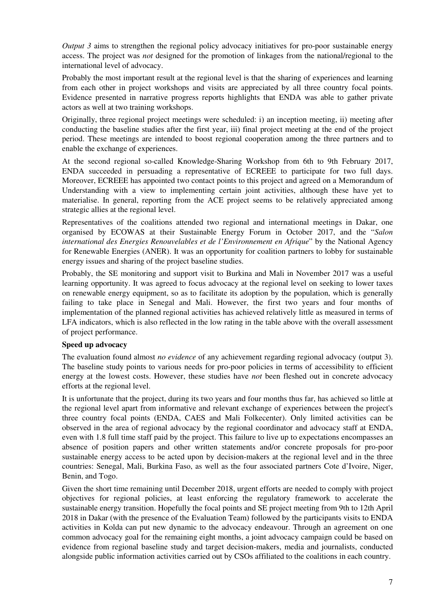*Output 3* aims to strengthen the regional policy advocacy initiatives for pro-poor sustainable energy access. The project was *not* designed for the promotion of linkages from the national/regional to the international level of advocacy.

Probably the most important result at the regional level is that the sharing of experiences and learning from each other in project workshops and visits are appreciated by all three country focal points. Evidence presented in narrative progress reports highlights that ENDA was able to gather private actors as well at two training workshops.

Originally, three regional project meetings were scheduled: i) an inception meeting, ii) meeting after conducting the baseline studies after the first year, iii) final project meeting at the end of the project period. These meetings are intended to boost regional cooperation among the three partners and to enable the exchange of experiences.

At the second regional so-called Knowledge-Sharing Workshop from 6th to 9th February 2017, ENDA succeeded in persuading a representative of ECREEE to participate for two full days. Moreover, ECREEE has appointed two contact points to this project and agreed on a Memorandum of Understanding with a view to implementing certain joint activities, although these have yet to materialise. In general, reporting from the ACE project seems to be relatively appreciated among strategic allies at the regional level.

Representatives of the coalitions attended two regional and international meetings in Dakar, one organised by ECOWAS at their Sustainable Energy Forum in October 2017, and the "*Salon international des Energies Renouvelables et de l'Environnement en Afrique*" by the National Agency for Renewable Energies (ANER). It was an opportunity for coalition partners to lobby for sustainable energy issues and sharing of the project baseline studies.

Probably, the SE monitoring and support visit to Burkina and Mali in November 2017 was a useful learning opportunity. It was agreed to focus advocacy at the regional level on seeking to lower taxes on renewable energy equipment, so as to facilitate its adoption by the population, which is generally failing to take place in Senegal and Mali. However, the first two years and four months of implementation of the planned regional activities has achieved relatively little as measured in terms of LFA indicators, which is also reflected in the low rating in the table above with the overall assessment of project performance.

#### **Speed up advocacy**

The evaluation found almost *no evidence* of any achievement regarding regional advocacy (output 3). The baseline study points to various needs for pro-poor policies in terms of accessibility to efficient energy at the lowest costs. However, these studies have *not* been fleshed out in concrete advocacy efforts at the regional level.

It is unfortunate that the project, during its two years and four months thus far, has achieved so little at the regional level apart from informative and relevant exchange of experiences between the project's three country focal points (ENDA, CAES and Mali Folkecenter). Only limited activities can be observed in the area of regional advocacy by the regional coordinator and advocacy staff at ENDA, even with 1.8 full time staff paid by the project. This failure to live up to expectations encompasses an absence of position papers and other written statements and/or concrete proposals for pro-poor sustainable energy access to be acted upon by decision-makers at the regional level and in the three countries: Senegal, Mali, Burkina Faso, as well as the four associated partners Cote d'Ivoire, Niger, Benin, and Togo.

Given the short time remaining until December 2018, urgent efforts are needed to comply with project objectives for regional policies, at least enforcing the regulatory framework to accelerate the sustainable energy transition. Hopefully the focal points and SE project meeting from 9th to 12th April 2018 in Dakar (with the presence of the Evaluation Team) followed by the participants visits to ENDA activities in Kolda can put new dynamic to the advocacy endeavour. Through an agreement on one common advocacy goal for the remaining eight months, a joint advocacy campaign could be based on evidence from regional baseline study and target decision-makers, media and journalists, conducted alongside public information activities carried out by CSOs affiliated to the coalitions in each country.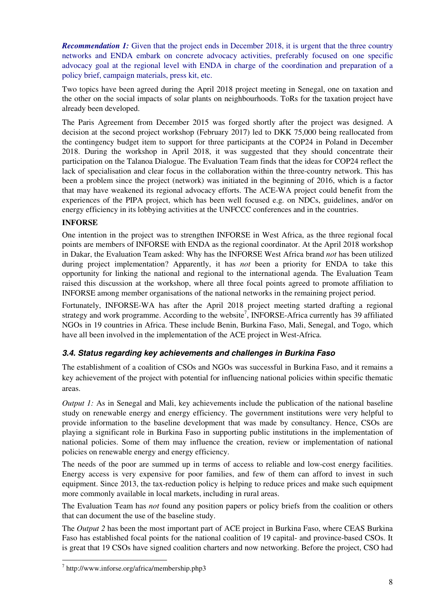*Recommendation 1:* Given that the project ends in December 2018, it is urgent that the three country networks and ENDA embark on concrete advocacy activities, preferably focused on one specific advocacy goal at the regional level with ENDA in charge of the coordination and preparation of a policy brief, campaign materials, press kit, etc.

Two topics have been agreed during the April 2018 project meeting in Senegal, one on taxation and the other on the social impacts of solar plants on neighbourhoods. ToRs for the taxation project have already been developed.

The Paris Agreement from December 2015 was forged shortly after the project was designed. A decision at the second project workshop (February 2017) led to DKK 75,000 being reallocated from the contingency budget item to support for three participants at the COP24 in Poland in December 2018. During the workshop in April 2018, it was suggested that they should concentrate their participation on the Talanoa Dialogue. The Evaluation Team finds that the ideas for COP24 reflect the lack of specialisation and clear focus in the collaboration within the three-country network. This has been a problem since the project (network) was initiated in the beginning of 2016, which is a factor that may have weakened its regional advocacy efforts. The ACE-WA project could benefit from the experiences of the PIPA project, which has been well focused e.g. on NDCs, guidelines, and/or on energy efficiency in its lobbying activities at the UNFCCC conferences and in the countries.

### **INFORSE**

One intention in the project was to strengthen INFORSE in West Africa, as the three regional focal points are members of INFORSE with ENDA as the regional coordinator. At the April 2018 workshop in Dakar, the Evaluation Team asked: Why has the INFORSE West Africa brand *not* has been utilized during project implementation? Apparently, it has *not* been a priority for ENDA to take this opportunity for linking the national and regional to the international agenda. The Evaluation Team raised this discussion at the workshop, where all three focal points agreed to promote affiliation to INFORSE among member organisations of the national networks in the remaining project period.

Fortunately, INFORSE-WA has after the April 2018 project meeting started drafting a regional strategy and work programme. According to the website<sup>7</sup>, INFORSE-Africa currently has 39 affiliated NGOs in 19 countries in Africa. These include Benin, Burkina Faso, Mali, Senegal, and Togo, which have all been involved in the implementation of the ACE project in West-Africa.

### **3.4. Status regarding key achievements and challenges in Burkina Faso**

The establishment of a coalition of CSOs and NGOs was successful in Burkina Faso, and it remains a key achievement of the project with potential for influencing national policies within specific thematic areas.

*Output 1:* As in Senegal and Mali, key achievements include the publication of the national baseline study on renewable energy and energy efficiency. The government institutions were very helpful to provide information to the baseline development that was made by consultancy. Hence, CSOs are playing a significant role in Burkina Faso in supporting public institutions in the implementation of national policies. Some of them may influence the creation, review or implementation of national policies on renewable energy and energy efficiency.

The needs of the poor are summed up in terms of access to reliable and low-cost energy facilities. Energy access is very expensive for poor families, and few of them can afford to invest in such equipment. Since 2013, the tax-reduction policy is helping to reduce prices and make such equipment more commonly available in local markets, including in rural areas.

The Evaluation Team has *not* found any position papers or policy briefs from the coalition or others that can document the use of the baseline study.

The *Output 2* has been the most important part of ACE project in Burkina Faso, where CEAS Burkina Faso has established focal points for the national coalition of 19 capital- and province-based CSOs. It is great that 19 CSOs have signed coalition charters and now networking. Before the project, CSO had

 7 http://www.inforse.org/africa/membership.php3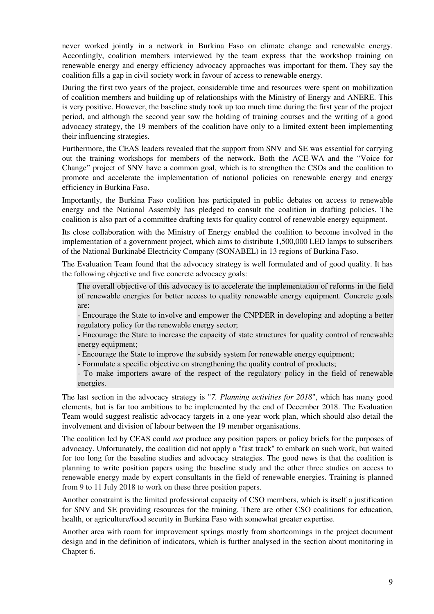never worked jointly in a network in Burkina Faso on climate change and renewable energy. Accordingly, coalition members interviewed by the team express that the workshop training on renewable energy and energy efficiency advocacy approaches was important for them. They say the coalition fills a gap in civil society work in favour of access to renewable energy.

During the first two years of the project, considerable time and resources were spent on mobilization of coalition members and building up of relationships with the Ministry of Energy and ANERE. This is very positive. However, the baseline study took up too much time during the first year of the project period, and although the second year saw the holding of training courses and the writing of a good advocacy strategy, the 19 members of the coalition have only to a limited extent been implementing their influencing strategies.

Furthermore, the CEAS leaders revealed that the support from SNV and SE was essential for carrying out the training workshops for members of the network. Both the ACE-WA and the "Voice for Change" project of SNV have a common goal, which is to strengthen the CSOs and the coalition to promote and accelerate the implementation of national policies on renewable energy and energy efficiency in Burkina Faso.

Importantly, the Burkina Faso coalition has participated in public debates on access to renewable energy and the National Assembly has pledged to consult the coalition in drafting policies. The coalition is also part of a committee drafting texts for quality control of renewable energy equipment.

Its close collaboration with the Ministry of Energy enabled the coalition to become involved in the implementation of a government project, which aims to distribute 1,500,000 LED lamps to subscribers of the National Burkinabé Electricity Company (SONABEL) in 13 regions of Burkina Faso.

The Evaluation Team found that the advocacy strategy is well formulated and of good quality. It has the following objective and five concrete advocacy goals:

The overall objective of this advocacy is to accelerate the implementation of reforms in the field of renewable energies for better access to quality renewable energy equipment. Concrete goals are:

- Encourage the State to involve and empower the CNPDER in developing and adopting a better regulatory policy for the renewable energy sector;

- Encourage the State to increase the capacity of state structures for quality control of renewable energy equipment;

- Encourage the State to improve the subsidy system for renewable energy equipment;

- Formulate a specific objective on strengthening the quality control of products;

- To make importers aware of the respect of the regulatory policy in the field of renewable energies.

The last section in the advocacy strategy is "*7. Planning activities for 2018*", which has many good elements, but is far too ambitious to be implemented by the end of December 2018. The Evaluation Team would suggest realistic advocacy targets in a one-year work plan, which should also detail the involvement and division of labour between the 19 member organisations.

The coalition led by CEAS could *not* produce any position papers or policy briefs for the purposes of advocacy. Unfortunately, the coalition did not apply a "fast track" to embark on such work, but waited for too long for the baseline studies and advocacy strategies. The good news is that the coalition is planning to write position papers using the baseline study and the other three studies on access to renewable energy made by expert consultants in the field of renewable energies. Training is planned from 9 to 11 July 2018 to work on these three position papers.

Another constraint is the limited professional capacity of CSO members, which is itself a justification for SNV and SE providing resources for the training. There are other CSO coalitions for education, health, or agriculture/food security in Burkina Faso with somewhat greater expertise.

Another area with room for improvement springs mostly from shortcomings in the project document design and in the definition of indicators, which is further analysed in the section about monitoring in Chapter 6.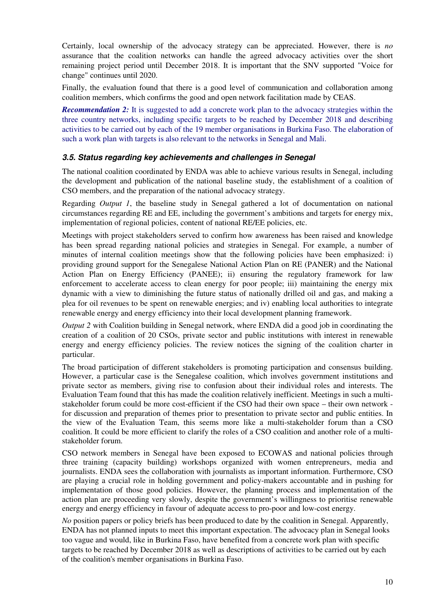Certainly, local ownership of the advocacy strategy can be appreciated. However, there is *no* assurance that the coalition networks can handle the agreed advocacy activities over the short remaining project period until December 2018. It is important that the SNV supported "Voice for change" continues until 2020.

Finally, the evaluation found that there is a good level of communication and collaboration among coalition members, which confirms the good and open network facilitation made by CEAS.

*Recommendation 2:* It is suggested to add a concrete work plan to the advocacy strategies within the three country networks, including specific targets to be reached by December 2018 and describing activities to be carried out by each of the 19 member organisations in Burkina Faso. The elaboration of such a work plan with targets is also relevant to the networks in Senegal and Mali.

#### **3.5. Status regarding key achievements and challenges in Senegal**

The national coalition coordinated by ENDA was able to achieve various results in Senegal, including the development and publication of the national baseline study, the establishment of a coalition of CSO members, and the preparation of the national advocacy strategy.

Regarding *Output 1*, the baseline study in Senegal gathered a lot of documentation on national circumstances regarding RE and EE, including the government's ambitions and targets for energy mix, implementation of regional policies, content of national RE/EE policies, etc.

Meetings with project stakeholders served to confirm how awareness has been raised and knowledge has been spread regarding national policies and strategies in Senegal. For example, a number of minutes of internal coalition meetings show that the following policies have been emphasized: i) providing ground support for the Senegalese National Action Plan on RE (PANER) and the National Action Plan on Energy Efficiency (PANEE); ii) ensuring the regulatory framework for law enforcement to accelerate access to clean energy for poor people; iii) maintaining the energy mix dynamic with a view to diminishing the future status of nationally drilled oil and gas, and making a plea for oil revenues to be spent on renewable energies; and iv) enabling local authorities to integrate renewable energy and energy efficiency into their local development planning framework.

*Output 2* with Coalition building in Senegal network, where ENDA did a good job in coordinating the creation of a coalition of 20 CSOs, private sector and public institutions with interest in renewable energy and energy efficiency policies. The review notices the signing of the coalition charter in particular.

The broad participation of different stakeholders is promoting participation and consensus building. However, a particular case is the Senegalese coalition, which involves government institutions and private sector as members, giving rise to confusion about their individual roles and interests. The Evaluation Team found that this has made the coalition relatively inefficient. Meetings in such a multistakeholder forum could be more cost-efficient if the CSO had their own space – their own network for discussion and preparation of themes prior to presentation to private sector and public entities. In the view of the Evaluation Team, this seems more like a multi-stakeholder forum than a CSO coalition. It could be more efficient to clarify the roles of a CSO coalition and another role of a multistakeholder forum.

CSO network members in Senegal have been exposed to ECOWAS and national policies through three training (capacity building) workshops organized with women entrepreneurs, media and journalists. ENDA sees the collaboration with journalists as important information. Furthermore, CSO are playing a crucial role in holding government and policy-makers accountable and in pushing for implementation of those good policies. However, the planning process and implementation of the action plan are proceeding very slowly, despite the government's willingness to prioritise renewable energy and energy efficiency in favour of adequate access to pro-poor and low-cost energy.

*No* position papers or policy briefs has been produced to date by the coalition in Senegal. Apparently, ENDA has not planned inputs to meet this important expectation. The advocacy plan in Senegal looks too vague and would, like in Burkina Faso, have benefited from a concrete work plan with specific targets to be reached by December 2018 as well as descriptions of activities to be carried out by each of the coalition's member organisations in Burkina Faso.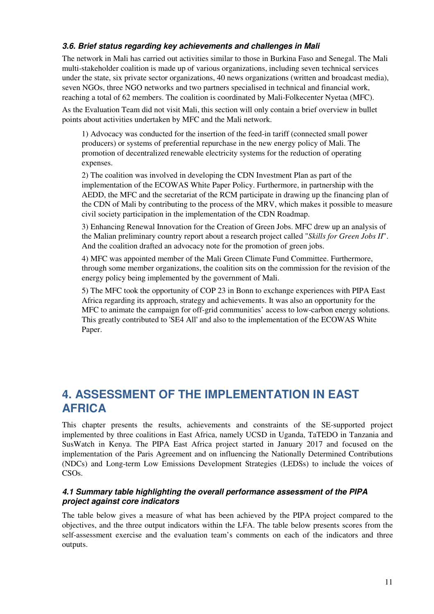### **3.6. Brief status regarding key achievements and challenges in Mali**

The network in Mali has carried out activities similar to those in Burkina Faso and Senegal. The Mali multi-stakeholder coalition is made up of various organizations, including seven technical services under the state, six private sector organizations, 40 news organizations (written and broadcast media), seven NGOs, three NGO networks and two partners specialised in technical and financial work, reaching a total of 62 members. The coalition is coordinated by Mali-Folkecenter Nyetaa (MFC).

As the Evaluation Team did not visit Mali, this section will only contain a brief overview in bullet points about activities undertaken by MFC and the Mali network.

1) Advocacy was conducted for the insertion of the feed-in tariff (connected small power producers) or systems of preferential repurchase in the new energy policy of Mali. The promotion of decentralized renewable electricity systems for the reduction of operating expenses.

2) The coalition was involved in developing the CDN Investment Plan as part of the implementation of the ECOWAS White Paper Policy. Furthermore, in partnership with the AEDD, the MFC and the secretariat of the RCM participate in drawing up the financing plan of the CDN of Mali by contributing to the process of the MRV, which makes it possible to measure civil society participation in the implementation of the CDN Roadmap.

3) Enhancing Renewal Innovation for the Creation of Green Jobs. MFC drew up an analysis of the Malian preliminary country report about a research project called "*Skills for Green Jobs II*". And the coalition drafted an advocacy note for the promotion of green jobs.

4) MFC was appointed member of the Mali Green Climate Fund Committee. Furthermore, through some member organizations, the coalition sits on the commission for the revision of the energy policy being implemented by the government of Mali.

5) The MFC took the opportunity of COP 23 in Bonn to exchange experiences with PIPA East Africa regarding its approach, strategy and achievements. It was also an opportunity for the MFC to animate the campaign for off-grid communities' access to low-carbon energy solutions. This greatly contributed to 'SE4 All' and also to the implementation of the ECOWAS White Paper.

# **4. ASSESSMENT OF THE IMPLEMENTATION IN EAST AFRICA**

This chapter presents the results, achievements and constraints of the SE-supported project implemented by three coalitions in East Africa, namely UCSD in Uganda, TaTEDO in Tanzania and SusWatch in Kenya. The PIPA East Africa project started in January 2017 and focused on the implementation of the Paris Agreement and on influencing the Nationally Determined Contributions (NDCs) and Long-term Low Emissions Development Strategies (LEDSs) to include the voices of CSOs.

#### **4.1 Summary table highlighting the overall performance assessment of the PIPA project against core indicators**

The table below gives a measure of what has been achieved by the PIPA project compared to the objectives, and the three output indicators within the LFA. The table below presents scores from the self-assessment exercise and the evaluation team's comments on each of the indicators and three outputs.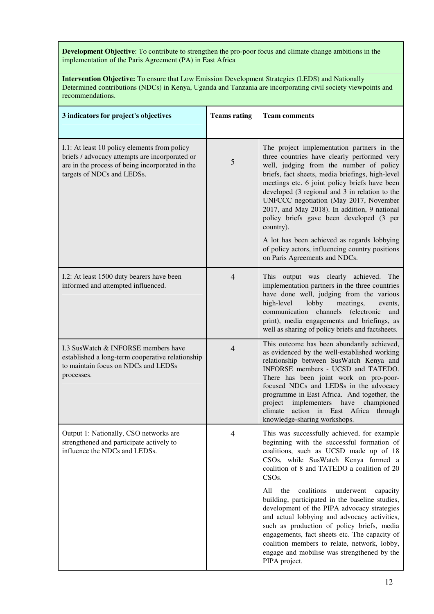**Development Objective**: To contribute to strengthen the pro-poor focus and climate change ambitions in the implementation of the Paris Agreement (PA) in East Africa

**Intervention Objective:** To ensure that Low Emission Development Strategies (LEDS) and Nationally Determined contributions (NDCs) in Kenya, Uganda and Tanzania are incorporating civil society viewpoints and recommendations.

| 3 indicators for project's objectives                                                                                                                                           | <b>Teams rating</b> | <b>Team comments</b>                                                                                                                                                                                                                                                                                                                                                                                                                                                                                                                                                                                                                                                  |
|---------------------------------------------------------------------------------------------------------------------------------------------------------------------------------|---------------------|-----------------------------------------------------------------------------------------------------------------------------------------------------------------------------------------------------------------------------------------------------------------------------------------------------------------------------------------------------------------------------------------------------------------------------------------------------------------------------------------------------------------------------------------------------------------------------------------------------------------------------------------------------------------------|
| I.1: At least 10 policy elements from policy<br>briefs / advocacy attempts are incorporated or<br>are in the process of being incorporated in the<br>targets of NDCs and LEDSs. | 5                   | The project implementation partners in the<br>three countries have clearly performed very<br>well, judging from the number of policy<br>briefs, fact sheets, media briefings, high-level<br>meetings etc. 6 joint policy briefs have been<br>developed (3 regional and 3 in relation to the<br>UNFCCC negotiation (May 2017, November<br>2017, and May 2018). In addition, 9 national<br>policy briefs gave been developed (3 per<br>country).<br>A lot has been achieved as regards lobbying<br>of policy actors, influencing country positions<br>on Paris Agreements and NDCs.                                                                                     |
| I.2: At least 1500 duty bearers have been<br>informed and attempted influenced.                                                                                                 | $\overline{4}$      | This output was clearly achieved. The<br>implementation partners in the three countries<br>have done well, judging from the various<br>lobby<br>high-level<br>meetings,<br>events,<br>communication channels<br><i>(electronic</i><br>and<br>print), media engagements and briefings, as<br>well as sharing of policy briefs and factsheets.                                                                                                                                                                                                                                                                                                                          |
| I.3 SusWatch & INFORSE members have<br>established a long-term cooperative relationship<br>to maintain focus on NDCs and LEDSs<br>processes.                                    | 4                   | This outcome has been abundantly achieved,<br>as evidenced by the well-established working<br>relationship between SusWatch Kenya and<br>INFORSE members - UCSD and TATEDO.<br>There has been joint work on pro-poor-<br>focused NDCs and LEDSs in the advocacy<br>programme in East Africa. And together, the<br>project<br>implementers<br>have<br>championed<br>climate<br>action in East Africa through<br>knowledge-sharing workshops.                                                                                                                                                                                                                           |
| Output 1: Nationally, CSO networks are<br>strengthened and participate actively to<br>influence the NDCs and LEDSs.                                                             | 4                   | This was successfully achieved, for example<br>beginning with the successful formation of<br>coalitions, such as UCSD made up of 18<br>CSOs, while SusWatch Kenya formed a<br>coalition of 8 and TATEDO a coalition of 20<br>CSO <sub>s</sub> .<br>coalitions<br>All<br>underwent<br>the<br>capacity<br>building, participated in the baseline studies,<br>development of the PIPA advocacy strategies<br>and actual lobbying and advocacy activities,<br>such as production of policy briefs, media<br>engagements, fact sheets etc. The capacity of<br>coalition members to relate, network, lobby,<br>engage and mobilise was strengthened by the<br>PIPA project. |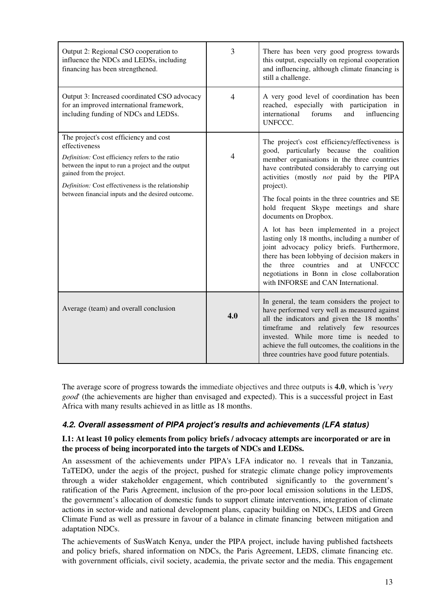| Output 2: Regional CSO cooperation to<br>influence the NDCs and LEDSs, including<br>financing has been strengthened.                                                                                                                                                                                   | 3              | There has been very good progress towards<br>this output, especially on regional cooperation<br>and influencing, although climate financing is<br>still a challenge.                                                                                                                                                                                                                                                                                                                                                                                                                                                                                                                                |
|--------------------------------------------------------------------------------------------------------------------------------------------------------------------------------------------------------------------------------------------------------------------------------------------------------|----------------|-----------------------------------------------------------------------------------------------------------------------------------------------------------------------------------------------------------------------------------------------------------------------------------------------------------------------------------------------------------------------------------------------------------------------------------------------------------------------------------------------------------------------------------------------------------------------------------------------------------------------------------------------------------------------------------------------------|
| Output 3: Increased coordinated CSO advocacy<br>for an improved international framework,<br>including funding of NDCs and LEDSs.                                                                                                                                                                       | $\overline{4}$ | A very good level of coordination has been<br>reached, especially with participation in<br>international<br>forums<br>and<br>influencing<br>UNFCCC.                                                                                                                                                                                                                                                                                                                                                                                                                                                                                                                                                 |
| The project's cost efficiency and cost<br>effectiveness<br>Definition: Cost efficiency refers to the ratio<br>between the input to run a project and the output<br>gained from the project.<br>Definition: Cost effectiveness is the relationship<br>between financial inputs and the desired outcome. | $\overline{4}$ | The project's cost efficiency/effectiveness is<br>good, particularly because the coalition<br>member organisations in the three countries<br>have contributed considerably to carrying out<br>activities (mostly not paid by the PIPA<br>project).<br>The focal points in the three countries and SE<br>hold frequent Skype meetings and share<br>documents on Dropbox.<br>A lot has been implemented in a project<br>lasting only 18 months, including a number of<br>joint advocacy policy briefs. Furthermore,<br>there has been lobbying of decision makers in<br>and at UNFCCC<br>three countries<br>the<br>negotiations in Bonn in close collaboration<br>with INFORSE and CAN International. |
| Average (team) and overall conclusion                                                                                                                                                                                                                                                                  | 4.0            | In general, the team considers the project to<br>have performed very well as measured against<br>all the indicators and given the 18 months'<br>timeframe<br>and relatively few resources<br>invested. While more time is needed to<br>achieve the full outcomes, the coalitions in the<br>three countries have good future potentials.                                                                                                                                                                                                                                                                                                                                                             |

The average score of progress towards the immediate objectives and three outputs is **4.0**, which is '*very good*' (the achievements are higher than envisaged and expected). This is a successful project in East Africa with many results achieved in as little as 18 months.

### **4.2. Overall assessment of PIPA project's results and achievements (LFA status)**

### **I.1: At least 10 policy elements from policy briefs / advocacy attempts are incorporated or are in the process of being incorporated into the targets of NDCs and LEDSs.**

An assessment of the achievements under PIPA's LFA indicator no. 1 reveals that in Tanzania, TaTEDO, under the aegis of the project, pushed for strategic climate change policy improvements through a wider stakeholder engagement, which contributed significantly to the government's ratification of the Paris Agreement, inclusion of the pro-poor local emission solutions in the LEDS, the government's allocation of domestic funds to support climate interventions, integration of climate actions in sector-wide and national development plans, capacity building on NDCs, LEDS and Green Climate Fund as well as pressure in favour of a balance in climate financing between mitigation and adaptation NDCs.

The achievements of SusWatch Kenya, under the PIPA project, include having published factsheets and policy briefs, shared information on NDCs, the Paris Agreement, LEDS, climate financing etc. with government officials, civil society, academia, the private sector and the media. This engagement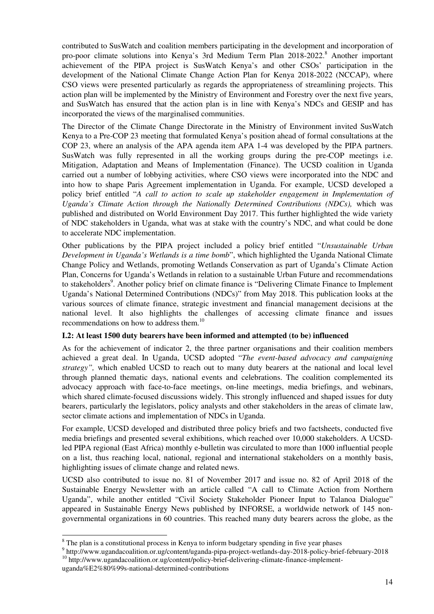contributed to SusWatch and coalition members participating in the development and incorporation of pro-poor climate solutions into Kenya's 3rd Medium Term Plan 2018-2022.<sup>8</sup> Another important achievement of the PIPA project is SusWatch Kenya's and other CSOs' participation in the development of the National Climate Change Action Plan for Kenya 2018-2022 (NCCAP), where CSO views were presented particularly as regards the appropriateness of streamlining projects. This action plan will be implemented by the Ministry of Environment and Forestry over the next five years, and SusWatch has ensured that the action plan is in line with Kenya's NDCs and GESIP and has incorporated the views of the marginalised communities.

The Director of the Climate Change Directorate in the Ministry of Environment invited SusWatch Kenya to a Pre-COP 23 meeting that formulated Kenya's position ahead of formal consultations at the COP 23, where an analysis of the APA agenda item APA 1-4 was developed by the PIPA partners. SusWatch was fully represented in all the working groups during the pre-COP meetings i.e. Mitigation, Adaptation and Means of Implementation (Finance). The UCSD coalition in Uganda carried out a number of lobbying activities, where CSO views were incorporated into the NDC and into how to shape Paris Agreement implementation in Uganda. For example, UCSD developed a policy brief entitled "*A call to action to scale up stakeholder engagement in Implementation of Uganda's Climate Action through the Nationally Determined Contributions (NDCs),* which was published and distributed on World Environment Day 2017. This further highlighted the wide variety of NDC stakeholders in Uganda, what was at stake with the country's NDC, and what could be done to accelerate NDC implementation.

Other publications by the PIPA project included a policy brief entitled "*Unsustainable Urban Development in Uganda's Wetlands is a time bomb*", which highlighted the Uganda National Climate Change Policy and Wetlands, promoting Wetlands Conservation as part of Uganda's Climate Action Plan, Concerns for Uganda's Wetlands in relation to a sustainable Urban Future and recommendations to stakeholders<sup>9</sup>. Another policy brief on climate finance is "Delivering Climate Finance to Implement Uganda's National Determined Contributions (NDCs)" from May 2018. This publication looks at the various sources of climate finance, strategic investment and financial management decisions at the national level. It also highlights the challenges of accessing climate finance and issues recommendations on how to address them.<sup>10</sup>

#### **I.2: At least 1500 duty bearers have been informed and attempted (to be) influenced**

As for the achievement of indicator 2, the three partner organisations and their coalition members achieved a great deal. In Uganda, UCSD adopted "*The event-based advocacy and campaigning strategy",* which enabled UCSD to reach out to many duty bearers at the national and local level through planned thematic days, national events and celebrations. The coalition complemented its advocacy approach with face-to-face meetings, on-line meetings, media briefings, and webinars, which shared climate-focused discussions widely. This strongly influenced and shaped issues for duty bearers, particularly the legislators, policy analysts and other stakeholders in the areas of climate law, sector climate actions and implementation of NDCs in Uganda.

For example, UCSD developed and distributed three policy briefs and two factsheets, conducted five media briefings and presented several exhibitions, which reached over 10,000 stakeholders. A UCSDled PIPA regional (East Africa) monthly e-bulletin was circulated to more than 1000 influential people on a list, thus reaching local, national, regional and international stakeholders on a monthly basis, highlighting issues of climate change and related news.

UCSD also contributed to issue no. 81 of November 2017 and issue no. 82 of April 2018 of the Sustainable Energy Newsletter with an article called "A call to Climate Action from Northern Uganda", while another entitled "Civil Society Stakeholder Pioneer Input to Talanoa Dialogue" appeared in Sustainable Energy News published by INFORSE, a worldwide network of 145 nongovernmental organizations in 60 countries. This reached many duty bearers across the globe, as the

<sup>&</sup>lt;sup>8</sup> The plan is a constitutional process in Kenya to inform budgetary spending in five year phases

<sup>9</sup> http://www.ugandacoalition.or.ug/content/uganda-pipa-project-wetlands-day-2018-policy-brief-february-2018 <sup>10</sup> http://www.ugandacoalition.or.ug/content/policy-brief-delivering-climate-finance-implement-

uganda%E2%80%99s-national-determined-contributions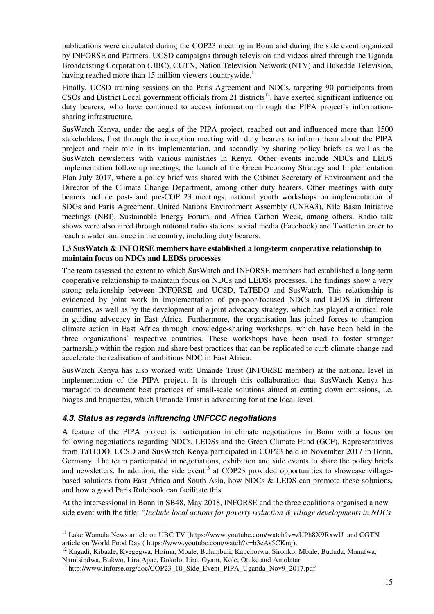publications were circulated during the COP23 meeting in Bonn and during the side event organized by INFORSE and Partners. UCSD campaigns through television and videos aired through the Uganda Broadcasting Corporation (UBC), CGTN, Nation Television Network (NTV) and Bukedde Television, having reached more than 15 million viewers countrywide.<sup>11</sup>

Finally, UCSD training sessions on the Paris Agreement and NDCs, targeting 90 participants from  $CSOs$  and District Local government officials from 21 districts<sup>12</sup>, have exerted significant influence on duty bearers, who have continued to access information through the PIPA project's informationsharing infrastructure.

SusWatch Kenya, under the aegis of the PIPA project, reached out and influenced more than 1500 stakeholders, first through the inception meeting with duty bearers to inform them about the PIPA project and their role in its implementation, and secondly by sharing policy briefs as well as the SusWatch newsletters with various ministries in Kenya. Other events include NDCs and LEDS implementation follow up meetings, the launch of the Green Economy Strategy and Implementation Plan July 2017, where a policy brief was shared with the Cabinet Secretary of Environment and the Director of the Climate Change Department, among other duty bearers. Other meetings with duty bearers include post- and pre-COP 23 meetings, national youth workshops on implementation of SDGs and Paris Agreement, United Nations Environment Assembly (UNEA3), Nile Basin Initiative meetings (NBI), Sustainable Energy Forum, and Africa Carbon Week, among others. Radio talk shows were also aired through national radio stations, social media (Facebook) and Twitter in order to reach a wider audience in the country, including duty bearers.

#### **I.3 SusWatch & INFORSE members have established a long-term cooperative relationship to maintain focus on NDCs and LEDSs processes**

The team assessed the extent to which SusWatch and INFORSE members had established a long-term cooperative relationship to maintain focus on NDCs and LEDSs processes. The findings show a very strong relationship between INFORSE and UCSD, TaTEDO and SusWatch. This relationship is evidenced by joint work in implementation of pro-poor-focused NDCs and LEDS in different countries, as well as by the development of a joint advocacy strategy, which has played a critical role in guiding advocacy in East Africa. Furthermore, the organisation has joined forces to champion climate action in East Africa through knowledge-sharing workshops, which have been held in the three organizations' respective countries. These workshops have been used to foster stronger partnership within the region and share best practices that can be replicated to curb climate change and accelerate the realisation of ambitious NDC in East Africa.

SusWatch Kenya has also worked with Umande Trust (INFORSE member) at the national level in implementation of the PIPA project. It is through this collaboration that SusWatch Kenya has managed to document best practices of small-scale solutions aimed at cutting down emissions, i.e. biogas and briquettes, which Umande Trust is advocating for at the local level.

### **4.3. Status as regards influencing UNFCCC negotiations**

A feature of the PIPA project is participation in climate negotiations in Bonn with a focus on following negotiations regarding NDCs, LEDSs and the Green Climate Fund (GCF). Representatives from TaTEDO, UCSD and SusWatch Kenya participated in COP23 held in November 2017 in Bonn, Germany. The team participated in negotiations, exhibition and side events to share the policy briefs and newsletters. In addition, the side event<sup>13</sup> at COP23 provided opportunities to showcase villagebased solutions from East Africa and South Asia, how NDCs & LEDS can promote these solutions, and how a good Paris Rulebook can facilitate this.

At the intersessional in Bonn in SB48, May 2018, INFORSE and the three coalitions organised a new side event with the title: *"Include local actions for poverty reduction & village developments in NDCs* 

 $\overline{a}$ <sup>11</sup> Lake Wamala News article on UBC TV (https://www.youtube.com/watch?v=zUPh8X9RxwU and CGTN article on World Food Day ( https://www.youtube.com/watch?v=b3eAs5CKmj).

<sup>12</sup> Kagadi, Kibaale, Kyegegwa, Hoima, Mbale, Bulambuli, Kapchorwa, Sironko, Mbale, Bududa, Manafwa, Namisindwa, Bukwo, Lira Apac, Dokolo, Lira, Oyam, Kole, Otuke and Amolatar

<sup>&</sup>lt;sup>13</sup> http://www.inforse.org/doc/COP23\_10\_Side\_Event\_PIPA\_Uganda\_Nov9\_2017.pdf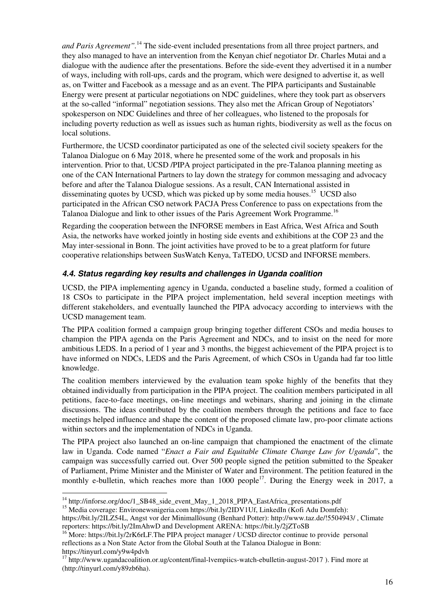*and Paris Agreement*".<sup>14</sup> The side-event included presentations from all three project partners, and they also managed to have an intervention from the Kenyan chief negotiator Dr. Charles Mutai and a dialogue with the audience after the presentations. Before the side-event they advertised it in a number of ways, including with roll-ups, cards and the program, which were designed to advertise it, as well as, on Twitter and Facebook as a message and as an event. The PIPA participants and Sustainable Energy were present at particular negotiations on NDC guidelines, where they took part as observers at the so-called "informal" negotiation sessions. They also met the African Group of Negotiators' spokesperson on NDC Guidelines and three of her colleagues, who listened to the proposals for including poverty reduction as well as issues such as human rights, biodiversity as well as the focus on local solutions.

Furthermore, the UCSD coordinator participated as one of the selected civil society speakers for the Talanoa Dialogue on 6 May 2018, where he presented some of the work and proposals in his intervention. Prior to that, UCSD /PIPA project participated in the pre-Talanoa planning meeting as one of the CAN International Partners to lay down the strategy for common messaging and advocacy before and after the Talanoa Dialogue sessions. As a result, CAN International assisted in disseminating quotes by UCSD, which was picked up by some media houses.<sup>15</sup> UCSD also participated in the African CSO network PACJA Press Conference to pass on expectations from the Talanoa Dialogue and link to other issues of the Paris Agreement Work Programme.<sup>16</sup>

Regarding the cooperation between the INFORSE members in East Africa, West Africa and South Asia, the networks have worked jointly in hosting side events and exhibitions at the COP 23 and the May inter-sessional in Bonn. The joint activities have proved to be to a great platform for future cooperative relationships between SusWatch Kenya, TaTEDO, UCSD and INFORSE members.

### **4.4. Status regarding key results and challenges in Uganda coalition**

UCSD, the PIPA implementing agency in Uganda, conducted a baseline study, formed a coalition of 18 CSOs to participate in the PIPA project implementation, held several inception meetings with different stakeholders, and eventually launched the PIPA advocacy according to interviews with the UCSD management team.

The PIPA coalition formed a campaign group bringing together different CSOs and media houses to champion the PIPA agenda on the Paris Agreement and NDCs, and to insist on the need for more ambitious LEDS. In a period of 1 year and 3 months, the biggest achievement of the PIPA project is to have informed on NDCs, LEDS and the Paris Agreement, of which CSOs in Uganda had far too little knowledge.

The coalition members interviewed by the evaluation team spoke highly of the benefits that they obtained individually from participation in the PIPA project. The coalition members participated in all petitions, face-to-face meetings, on-line meetings and webinars, sharing and joining in the climate discussions. The ideas contributed by the coalition members through the petitions and face to face meetings helped influence and shape the content of the proposed climate law, pro-poor climate actions within sectors and the implementation of NDCs in Uganda.

The PIPA project also launched an on-line campaign that championed the enactment of the climate law in Uganda. Code named "*Enact a Fair and Equitable Climate Change Law for Uganda*", the campaign was successfully carried out. Over 500 people signed the petition submitted to the Speaker of Parliament, Prime Minister and the Minister of Water and Environment. The petition featured in the monthly e-bulletin, which reaches more than  $1000$  people<sup>17</sup>. During the Energy week in 2017, a

 $\overline{a}$ <sup>14</sup> http://inforse.org/doc/1\_SB48\_side\_event\_May\_1\_2018\_PIPA\_EastAfrica\_presentations.pdf

<sup>&</sup>lt;sup>15</sup> Media coverage: Environewsnigeria.com https://bit.ly/2IDV1Uf, LinkedIn (Kofi Adu Domfeh):

https://bit.ly/2ILZ54L, Angst vor der Minimallösung (Benhard Potter): http://www.taz.de/!5504943/ , Climate reporters: https://bit.ly/2ImAhwD and Development ARENA: https://bit.ly/2jZToSB

<sup>16</sup> More: https://bit.ly/2rK6rLF.The PIPA project manager / UCSD director continue to provide personal reflections as a Non State Actor from the Global South at the Talanoa Dialogue in Bonn: https://tinyurl.com/y9w4pdvh

<sup>&</sup>lt;sup>17</sup> http://www.ugandacoalition.or.ug/content/final-lvempiics-watch-ebulletin-august-2017 ). Find more at (http://tinyurl.com/y89zb6ha).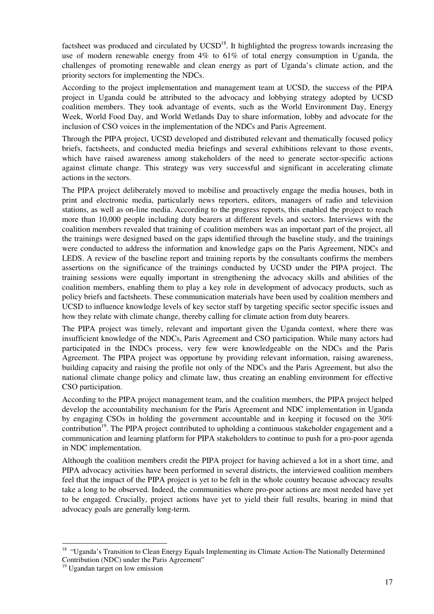factsheet was produced and circulated by  $UCSD^{18}$ . It highlighted the progress towards increasing the use of modern renewable energy from 4% to 61% of total energy consumption in Uganda, the challenges of promoting renewable and clean energy as part of Uganda's climate action, and the priority sectors for implementing the NDCs.

According to the project implementation and management team at UCSD, the success of the PIPA project in Uganda could be attributed to the advocacy and lobbying strategy adopted by UCSD coalition members. They took advantage of events, such as the World Environment Day, Energy Week, World Food Day, and World Wetlands Day to share information, lobby and advocate for the inclusion of CSO voices in the implementation of the NDCs and Paris Agreement.

Through the PIPA project, UCSD developed and distributed relevant and thematically focused policy briefs, factsheets, and conducted media briefings and several exhibitions relevant to those events, which have raised awareness among stakeholders of the need to generate sector-specific actions against climate change. This strategy was very successful and significant in accelerating climate actions in the sectors.

The PIPA project deliberately moved to mobilise and proactively engage the media houses, both in print and electronic media, particularly news reporters, editors, managers of radio and television stations, as well as on-line media. According to the progress reports, this enabled the project to reach more than 10,000 people including duty bearers at different levels and sectors. Interviews with the coalition members revealed that training of coalition members was an important part of the project, all the trainings were designed based on the gaps identified through the baseline study, and the trainings were conducted to address the information and knowledge gaps on the Paris Agreement, NDCs and LEDS. A review of the baseline report and training reports by the consultants confirms the members assertions on the significance of the trainings conducted by UCSD under the PIPA project. The training sessions were equally important in strengthening the advocacy skills and abilities of the coalition members, enabling them to play a key role in development of advocacy products, such as policy briefs and factsheets. These communication materials have been used by coalition members and UCSD to influence knowledge levels of key sector staff by targeting specific sector specific issues and how they relate with climate change, thereby calling for climate action from duty bearers.

The PIPA project was timely, relevant and important given the Uganda context, where there was insufficient knowledge of the NDCs, Paris Agreement and CSO participation. While many actors had participated in the INDCs process, very few were knowledgeable on the NDCs and the Paris Agreement. The PIPA project was opportune by providing relevant information, raising awareness, building capacity and raising the profile not only of the NDCs and the Paris Agreement, but also the national climate change policy and climate law, thus creating an enabling environment for effective CSO participation.

According to the PIPA project management team, and the coalition members, the PIPA project helped develop the accountability mechanism for the Paris Agreement and NDC implementation in Uganda by engaging CSOs in holding the government accountable and in keeping it focused on the 30% contribution<sup>19</sup>. The PIPA project contributed to upholding a continuous stakeholder engagement and a communication and learning platform for PIPA stakeholders to continue to push for a pro-poor agenda in NDC implementation.

Although the coalition members credit the PIPA project for having achieved a lot in a short time, and PIPA advocacy activities have been performed in several districts, the interviewed coalition members feel that the impact of the PIPA project is yet to be felt in the whole country because advocacy results take a long to be observed. Indeed, the communities where pro-poor actions are most needed have yet to be engaged. Crucially, project actions have yet to yield their full results, bearing in mind that advocacy goals are generally long-term.

 $\overline{a}$ 

<sup>&</sup>lt;sup>18</sup> "Uganda's Transition to Clean Energy Equals Implementing its Climate Action-The Nationally Determined Contribution (NDC) under the Paris Agreement"

<sup>&</sup>lt;sup>19</sup> Ugandan target on low emission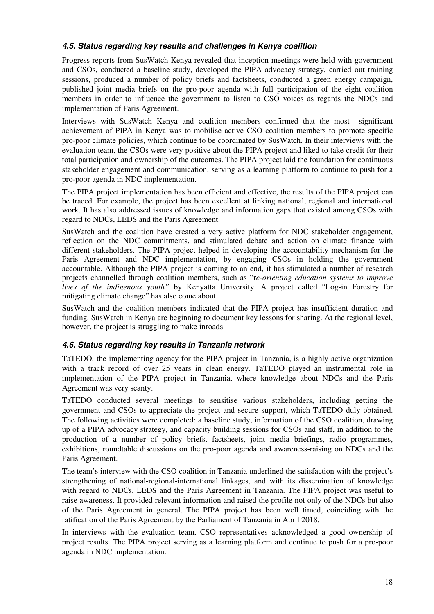### **4.5. Status regarding key results and challenges in Kenya coalition**

Progress reports from SusWatch Kenya revealed that inception meetings were held with government and CSOs, conducted a baseline study, developed the PIPA advocacy strategy, carried out training sessions, produced a number of policy briefs and factsheets, conducted a green energy campaign, published joint media briefs on the pro-poor agenda with full participation of the eight coalition members in order to influence the government to listen to CSO voices as regards the NDCs and implementation of Paris Agreement.

Interviews with SusWatch Kenya and coalition members confirmed that the most significant achievement of PIPA in Kenya was to mobilise active CSO coalition members to promote specific pro-poor climate policies, which continue to be coordinated by SusWatch. In their interviews with the evaluation team, the CSOs were very positive about the PIPA project and liked to take credit for their total participation and ownership of the outcomes. The PIPA project laid the foundation for continuous stakeholder engagement and communication, serving as a learning platform to continue to push for a pro-poor agenda in NDC implementation.

The PIPA project implementation has been efficient and effective, the results of the PIPA project can be traced. For example, the project has been excellent at linking national, regional and international work. It has also addressed issues of knowledge and information gaps that existed among CSOs with regard to NDCs, LEDS and the Paris Agreement.

SusWatch and the coalition have created a very active platform for NDC stakeholder engagement, reflection on the NDC commitments, and stimulated debate and action on climate finance with different stakeholders. The PIPA project helped in developing the accountability mechanism for the Paris Agreement and NDC implementation, by engaging CSOs in holding the government accountable. Although the PIPA project is coming to an end, it has stimulated a number of research projects channelled through coalition members, such as "r*e-orienting education systems to improve lives of the indigenous youth"* by Kenyatta University. A project called "Log-in Forestry for mitigating climate change" has also come about.

SusWatch and the coalition members indicated that the PIPA project has insufficient duration and funding. SusWatch in Kenya are beginning to document key lessons for sharing. At the regional level, however, the project is struggling to make inroads.

#### **4.6. Status regarding key results in Tanzania network**

TaTEDO, the implementing agency for the PIPA project in Tanzania, is a highly active organization with a track record of over 25 years in clean energy. TaTEDO played an instrumental role in implementation of the PIPA project in Tanzania, where knowledge about NDCs and the Paris Agreement was very scanty.

TaTEDO conducted several meetings to sensitise various stakeholders, including getting the government and CSOs to appreciate the project and secure support, which TaTEDO duly obtained. The following activities were completed: a baseline study, information of the CSO coalition, drawing up of a PIPA advocacy strategy, and capacity building sessions for CSOs and staff, in addition to the production of a number of policy briefs, factsheets, joint media briefings, radio programmes, exhibitions, roundtable discussions on the pro-poor agenda and awareness-raising on NDCs and the Paris Agreement.

The team's interview with the CSO coalition in Tanzania underlined the satisfaction with the project's strengthening of national-regional-international linkages, and with its dissemination of knowledge with regard to NDCs, LEDS and the Paris Agreement in Tanzania. The PIPA project was useful to raise awareness. It provided relevant information and raised the profile not only of the NDCs but also of the Paris Agreement in general. The PIPA project has been well timed, coinciding with the ratification of the Paris Agreement by the Parliament of Tanzania in April 2018.

In interviews with the evaluation team, CSO representatives acknowledged a good ownership of project results. The PIPA project serving as a learning platform and continue to push for a pro-poor agenda in NDC implementation.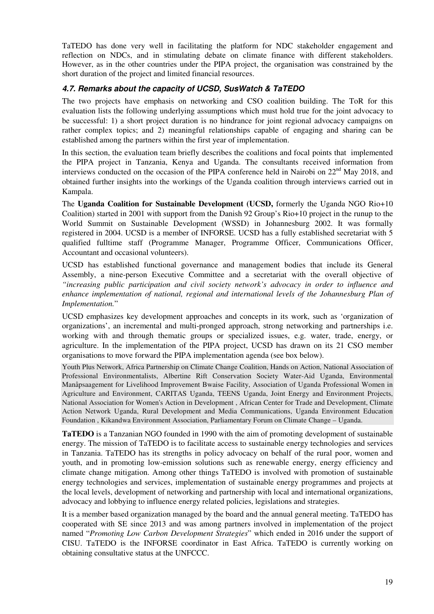TaTEDO has done very well in facilitating the platform for NDC stakeholder engagement and reflection on NDCs, and in stimulating debate on climate finance with different stakeholders. However, as in the other countries under the PIPA project, the organisation was constrained by the short duration of the project and limited financial resources.

### **4.7. Remarks about the capacity of UCSD, SusWatch & TaTEDO**

The two projects have emphasis on networking and CSO coalition building. The ToR for this evaluation lists the following underlying assumptions which must hold true for the joint advocacy to be successful: 1) a short project duration is no hindrance for joint regional advocacy campaigns on rather complex topics; and 2) meaningful relationships capable of engaging and sharing can be established among the partners within the first year of implementation.

In this section, the evaluation team briefly describes the coalitions and focal points that implemented the PIPA project in Tanzania, Kenya and Uganda. The consultants received information from interviews conducted on the occasion of the PIPA conference held in Nairobi on  $22<sup>nd</sup>$  May 2018, and obtained further insights into the workings of the Uganda coalition through interviews carried out in Kampala.

The **Uganda Coalition for Sustainable Development (UCSD,** formerly the Uganda NGO Rio+10 Coalition) started in 2001 with support from the Danish 92 Group's Rio+10 project in the runup to the World Summit on Sustainable Development (WSSD) in Johannesburg 2002. It was formally registered in 2004. UCSD is a member of INFORSE. UCSD has a fully established secretariat with 5 qualified fulltime staff (Programme Manager, Programme Officer, Communications Officer, Accountant and occasional volunteers).

UCSD has established functional governance and management bodies that include its General Assembly, a nine-person Executive Committee and a secretariat with the overall objective of *"increasing public participation and civil society network's advocacy in order to influence and*  enhance implementation of national, regional and international levels of the Johannesburg Plan of *Implementation.*"

UCSD emphasizes key development approaches and concepts in its work, such as 'organization of organizations', an incremental and multi-pronged approach, strong networking and partnerships i.e. working with and through thematic groups or specialized issues, e.g. water, trade, energy, or agriculture. In the implementation of the PIPA project, UCSD has drawn on its 21 CSO member organisations to move forward the PIPA implementation agenda (see box below).

Youth Plus Network, Africa Partnership on Climate Change Coalition, Hands on Action, National Association of Professional Environmentalists, Albertine Rift Conservation Society Water-Aid Uganda, Environmental Manåpsaagement for Livelihood Improvement Bwaise Facility, Association of Uganda Professional Women in Agriculture and Environment, CARITAS Uganda, TEENS Uganda, Joint Energy and Environment Projects, National Association for Women's Action in Development , African Center for Trade and Development, Climate Action Network Uganda, Rural Development and Media Communications, Uganda Environment Education Foundation , Kikandwa Environment Association, Parliamentary Forum on Climate Change – Uganda.

**TaTEDO** is a Tanzanian NGO founded in 1990 with the aim of promoting development of sustainable energy. The mission of TaTEDO is to facilitate access to sustainable energy technologies and services in Tanzania. TaTEDO has its strengths in policy advocacy on behalf of the rural poor, women and youth, and in promoting low-emission solutions such as renewable energy, energy efficiency and climate change mitigation. Among other things TaTEDO is involved with promotion of sustainable energy technologies and services, implementation of sustainable energy programmes and projects at the local levels, development of networking and partnership with local and international organizations, advocacy and lobbying to influence energy related policies, legislations and strategies.

It is a member based organization managed by the board and the annual general meeting. TaTEDO has cooperated with SE since 2013 and was among partners involved in implementation of the project named "*Promoting Low Carbon Development Strategies*" which ended in 2016 under the support of CISU. TaTEDO is the INFORSE coordinator in East Africa. TaTEDO is currently working on obtaining consultative status at the UNFCCC.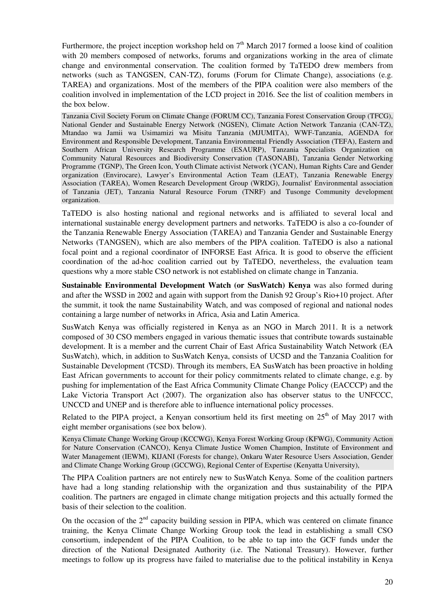Furthermore, the project inception workshop held on  $7<sup>th</sup>$  March 2017 formed a loose kind of coalition with 20 members composed of networks, forums and organizations working in the area of climate change and environmental conservation. The coalition formed by TaTEDO drew members from networks (such as TANGSEN, CAN-TZ), forums (Forum for Climate Change), associations (e.g. TAREA) and organizations. Most of the members of the PIPA coalition were also members of the coalition involved in implementation of the LCD project in 2016. See the list of coalition members in the box below.

Tanzania Civil Society Forum on Climate Change (FORUM CC), Tanzania Forest Conservation Group (TFCG), National Gender and Sustainable Energy Network (NGSEN), Climate Action Network Tanzania (CAN-TZ), Mtandao wa Jamii wa Usimamizi wa Misitu Tanzania (MJUMITA), WWF-Tanzania, AGENDA for Environment and Responsible Development, Tanzania Environmental Friendly Association (TEFA), Eastern and Southern African University Research Programme (ESAURP), Tanzania Specialists Organization on Community Natural Resources and Biodiversity Conservation (TASONABI), Tanzania Gender Networking Programme (TGNP), The Green Icon, Youth Climate activist Network (YCAN), Human Rights Care and Gender organization (Envirocare), Lawyer's Environmental Action Team (LEAT), Tanzania Renewable Energy Association (TAREA), Women Research Development Group (WRDG), Journalist' Environmental association of Tanzania (JET), Tanzania Natural Resource Forum (TNRF) and Tusonge Community development organization.

TaTEDO is also hosting national and regional networks and is affiliated to several local and international sustainable energy development partners and networks. TaTEDO is also a co-founder of the Tanzania Renewable Energy Association (TAREA) and Tanzania Gender and Sustainable Energy Networks (TANGSEN), which are also members of the PIPA coalition. TaTEDO is also a national focal point and a regional coordinator of INFORSE East Africa. It is good to observe the efficient coordination of the ad-hoc coalition carried out by TaTEDO, nevertheless, the evaluation team questions why a more stable CSO network is not established on climate change in Tanzania.

**Sustainable Environmental Development Watch (or SusWatch) Kenya** was also formed during and after the WSSD in 2002 and again with support from the Danish 92 Group's Rio+10 project. After the summit, it took the name Sustainability Watch, and was composed of regional and national nodes containing a large number of networks in Africa, Asia and Latin America.

SusWatch Kenya was officially registered in Kenya as an NGO in March 2011. It is a network composed of 30 CSO members engaged in various thematic issues that contribute towards sustainable development. It is a member and the current Chair of East Africa Sustainability Watch Network (EA SusWatch), which, in addition to SusWatch Kenya, consists of UCSD and the Tanzania Coalition for Sustainable Development (TCSD). Through its members, EA SusWatch has been proactive in holding East African governments to account for their policy commitments related to climate change, e.g. by pushing for implementation of the East Africa Community Climate Change Policy (EACCCP) and the Lake Victoria Transport Act (2007). The organization also has observer status to the UNFCCC, UNCCD and UNEP and is therefore able to influence international policy processes.

Related to the PIPA project, a Kenyan consortium held its first meeting on  $25<sup>th</sup>$  of May 2017 with eight member organisations (see box below).

Kenya Climate Change Working Group (KCCWG), Kenya Forest Working Group (KFWG), Community Action for Nature Conservation (CANCO), Kenya Climate Justice Women Champion, Institute of Environment and Water Management (IEWM), KIJANI (Forests for change), Onkaru Water Resource Users Association, Gender and Climate Change Working Group (GCCWG), Regional Center of Expertise (Kenyatta University),

The PIPA Coalition partners are not entirely new to SusWatch Kenya. Some of the coalition partners have had a long standing relationship with the organization and thus sustainability of the PIPA coalition. The partners are engaged in climate change mitigation projects and this actually formed the basis of their selection to the coalition.

On the occasion of the  $2<sup>nd</sup>$  capacity building session in PIPA, which was centered on climate finance training, the Kenya Climate Change Working Group took the lead in establishing a small CSO consortium, independent of the PIPA Coalition, to be able to tap into the GCF funds under the direction of the National Designated Authority (i.e. The National Treasury). However, further meetings to follow up its progress have failed to materialise due to the political instability in Kenya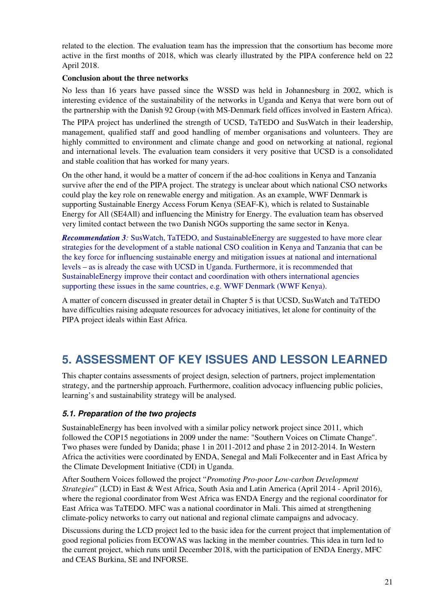related to the election. The evaluation team has the impression that the consortium has become more active in the first months of 2018, which was clearly illustrated by the PIPA conference held on 22 April 2018.

#### **Conclusion about the three networks**

No less than 16 years have passed since the WSSD was held in Johannesburg in 2002, which is interesting evidence of the sustainability of the networks in Uganda and Kenya that were born out of the partnership with the Danish 92 Group (with MS-Denmark field offices involved in Eastern Africa).

The PIPA project has underlined the strength of UCSD, TaTEDO and SusWatch in their leadership, management, qualified staff and good handling of member organisations and volunteers. They are highly committed to environment and climate change and good on networking at national, regional and international levels. The evaluation team considers it very positive that UCSD is a consolidated and stable coalition that has worked for many years.

On the other hand, it would be a matter of concern if the ad-hoc coalitions in Kenya and Tanzania survive after the end of the PIPA project. The strategy is unclear about which national CSO networks could play the key role on renewable energy and mitigation. As an example, WWF Denmark is supporting Sustainable Energy Access Forum Kenya (SEAF-K), which is related to Sustainable Energy for All (SE4All) and influencing the Ministry for Energy. The evaluation team has observed very limited contact between the two Danish NGOs supporting the same sector in Kenya.

*Recommendation 3:* SusWatch, TaTEDO, and SustainableEnergy are suggested to have more clear strategies for the development of a stable national CSO coalition in Kenya and Tanzania that can be the key force for influencing sustainable energy and mitigation issues at national and international levels – as is already the case with UCSD in Uganda. Furthermore, it is recommended that SustainableEnergy improve their contact and coordination with others international agencies supporting these issues in the same countries, e.g. WWF Denmark (WWF Kenya).

A matter of concern discussed in greater detail in Chapter 5 is that UCSD, SusWatch and TaTEDO have difficulties raising adequate resources for advocacy initiatives, let alone for continuity of the PIPA project ideals within East Africa.

# **5. ASSESSMENT OF KEY ISSUES AND LESSON LEARNED**

This chapter contains assessments of project design, selection of partners, project implementation strategy, and the partnership approach. Furthermore, coalition advocacy influencing public policies, learning's and sustainability strategy will be analysed.

#### **5.1. Preparation of the two projects**

SustainableEnergy has been involved with a similar policy network project since 2011, which followed the COP15 negotiations in 2009 under the name: "Southern Voices on Climate Change". Two phases were funded by Danida; phase 1 in 2011-2012 and phase 2 in 2012-2014. In Western Africa the activities were coordinated by ENDA, Senegal and Mali Folkecenter and in East Africa by the Climate Development Initiative (CDI) in Uganda.

After Southern Voices followed the project "*Promoting Pro-poor Low-carbon Development Strategies*" (LCD) in East & West Africa, South Asia and Latin America (April 2014 - April 2016), where the regional coordinator from West Africa was ENDA Energy and the regional coordinator for East Africa was TaTEDO. MFC was a national coordinator in Mali. This aimed at strengthening climate-policy networks to carry out national and regional climate campaigns and advocacy.

Discussions during the LCD project led to the basic idea for the current project that implementation of good regional policies from ECOWAS was lacking in the member countries. This idea in turn led to the current project, which runs until December 2018, with the participation of ENDA Energy, MFC and CEAS Burkina, SE and INFORSE.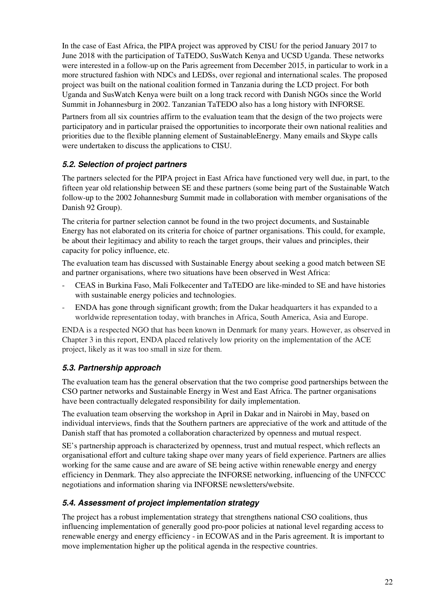In the case of East Africa, the PIPA project was approved by CISU for the period January 2017 to June 2018 with the participation of TaTEDO, SusWatch Kenya and UCSD Uganda. These networks were interested in a follow-up on the Paris agreement from December 2015, in particular to work in a more structured fashion with NDCs and LEDSs, over regional and international scales. The proposed project was built on the national coalition formed in Tanzania during the LCD project. For both Uganda and SusWatch Kenya were built on a long track record with Danish NGOs since the World Summit in Johannesburg in 2002. Tanzanian TaTEDO also has a long history with INFORSE.

Partners from all six countries affirm to the evaluation team that the design of the two projects were participatory and in particular praised the opportunities to incorporate their own national realities and priorities due to the flexible planning element of SustainableEnergy. Many emails and Skype calls were undertaken to discuss the applications to CISU.

### **5.2. Selection of project partners**

The partners selected for the PIPA project in East Africa have functioned very well due, in part, to the fifteen year old relationship between SE and these partners (some being part of the Sustainable Watch follow-up to the 2002 Johannesburg Summit made in collaboration with member organisations of the Danish 92 Group).

The criteria for partner selection cannot be found in the two project documents, and Sustainable Energy has not elaborated on its criteria for choice of partner organisations. This could, for example, be about their legitimacy and ability to reach the target groups, their values and principles, their capacity for policy influence, etc.

The evaluation team has discussed with Sustainable Energy about seeking a good match between SE and partner organisations, where two situations have been observed in West Africa:

- CEAS in Burkina Faso, Mali Folkecenter and TaTEDO are like-minded to SE and have histories with sustainable energy policies and technologies.
- ENDA has gone through significant growth; from the Dakar headquarters it has expanded to a worldwide representation today, with branches in Africa, South America, Asia and Europe.

ENDA is a respected NGO that has been known in Denmark for many years. However, as observed in Chapter 3 in this report, ENDA placed relatively low priority on the implementation of the ACE project, likely as it was too small in size for them.

### **5.3. Partnership approach**

The evaluation team has the general observation that the two comprise good partnerships between the CSO partner networks and Sustainable Energy in West and East Africa. The partner organisations have been contractually delegated responsibility for daily implementation.

The evaluation team observing the workshop in April in Dakar and in Nairobi in May, based on individual interviews, finds that the Southern partners are appreciative of the work and attitude of the Danish staff that has promoted a collaboration characterized by openness and mutual respect.

SE's partnership approach is characterized by openness, trust and mutual respect, which reflects an organisational effort and culture taking shape over many years of field experience. Partners are allies working for the same cause and are aware of SE being active within renewable energy and energy efficiency in Denmark. They also appreciate the INFORSE networking, influencing of the UNFCCC negotiations and information sharing via INFORSE newsletters/website.

### **5.4. Assessment of project implementation strategy**

The project has a robust implementation strategy that strengthens national CSO coalitions, thus influencing implementation of generally good pro-poor policies at national level regarding access to renewable energy and energy efficiency - in ECOWAS and in the Paris agreement. It is important to move implementation higher up the political agenda in the respective countries.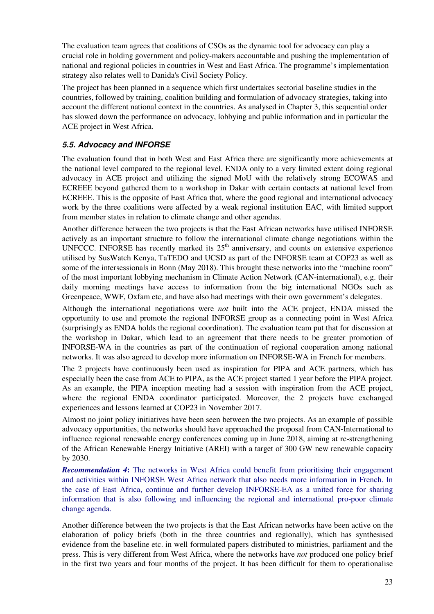The evaluation team agrees that coalitions of CSOs as the dynamic tool for advocacy can play a crucial role in holding government and policy-makers accountable and pushing the implementation of national and regional policies in countries in West and East Africa. The programme's implementation strategy also relates well to Danida's Civil Society Policy.

The project has been planned in a sequence which first undertakes sectorial baseline studies in the countries, followed by training, coalition building and formulation of advocacy strategies, taking into account the different national context in the countries. As analysed in Chapter 3, this sequential order has slowed down the performance on advocacy, lobbying and public information and in particular the ACE project in West Africa.

### **5.5. Advocacy and INFORSE**

The evaluation found that in both West and East Africa there are significantly more achievements at the national level compared to the regional level. ENDA only to a very limited extent doing regional advocacy in ACE project and utilizing the signed MoU with the relatively strong ECOWAS and ECREEE beyond gathered them to a workshop in Dakar with certain contacts at national level from ECREEE. This is the opposite of East Africa that, where the good regional and international advocacy work by the three coalitions were affected by a weak regional institution EAC, with limited support from member states in relation to climate change and other agendas.

Another difference between the two projects is that the East African networks have utilised INFORSE actively as an important structure to follow the international climate change negotiations within the UNFCCC. INFORSE has recently marked its  $25<sup>th</sup>$  anniversary, and counts on extensive experience utilised by SusWatch Kenya, TaTEDO and UCSD as part of the INFORSE team at COP23 as well as some of the intersessionals in Bonn (May 2018). This brought these networks into the "machine room" of the most important lobbying mechanism in Climate Action Network (CAN-international), e.g. their daily morning meetings have access to information from the big international NGOs such as Greenpeace, WWF, Oxfam etc, and have also had meetings with their own government's delegates.

Although the international negotiations were *not* built into the ACE project, ENDA missed the opportunity to use and promote the regional INFORSE group as a connecting point in West Africa (surprisingly as ENDA holds the regional coordination). The evaluation team put that for discussion at the workshop in Dakar, which lead to an agreement that there needs to be greater promotion of INFORSE-WA in the countries as part of the continuation of regional cooperation among national networks. It was also agreed to develop more information on INFORSE-WA in French for members.

The 2 projects have continuously been used as inspiration for PIPA and ACE partners, which has especially been the case from ACE to PIPA, as the ACE project started 1 year before the PIPA project. As an example, the PIPA inception meeting had a session with inspiration from the ACE project, where the regional ENDA coordinator participated. Moreover, the 2 projects have exchanged experiences and lessons learned at COP23 in November 2017.

Almost no joint policy initiatives have been seen between the two projects. As an example of possible advocacy opportunities, the networks should have approached the proposal from CAN-International to influence regional renewable energy conferences coming up in June 2018, aiming at re-strengthening of the African Renewable Energy Initiative (AREI) with a target of 300 GW new renewable capacity by 2030.

*Recommendation 4***:** The networks in West Africa could benefit from prioritising their engagement and activities within INFORSE West Africa network that also needs more information in French. In the case of East Africa, continue and further develop INFORSE-EA as a united force for sharing information that is also following and influencing the regional and international pro-poor climate change agenda.

Another difference between the two projects is that the East African networks have been active on the elaboration of policy briefs (both in the three countries and regionally), which has synthesised evidence from the baseline etc. in well formulated papers distributed to ministries, parliament and the press. This is very different from West Africa, where the networks have *not* produced one policy brief in the first two years and four months of the project. It has been difficult for them to operationalise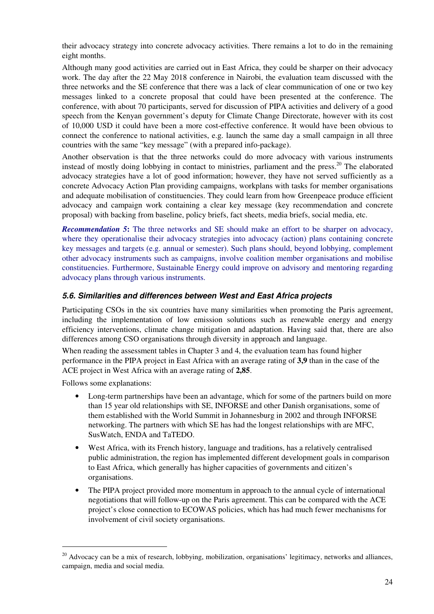their advocacy strategy into concrete advocacy activities. There remains a lot to do in the remaining eight months.

Although many good activities are carried out in East Africa, they could be sharper on their advocacy work. The day after the 22 May 2018 conference in Nairobi, the evaluation team discussed with the three networks and the SE conference that there was a lack of clear communication of one or two key messages linked to a concrete proposal that could have been presented at the conference. The conference, with about 70 participants, served for discussion of PIPA activities and delivery of a good speech from the Kenyan government's deputy for Climate Change Directorate, however with its cost of 10,000 USD it could have been a more cost-effective conference. It would have been obvious to connect the conference to national activities, e.g. launch the same day a small campaign in all three countries with the same "key message" (with a prepared info-package).

Another observation is that the three networks could do more advocacy with various instruments instead of mostly doing lobbying in contact to ministries, parliament and the press.<sup>20</sup> The elaborated advocacy strategies have a lot of good information; however, they have not served sufficiently as a concrete Advocacy Action Plan providing campaigns, workplans with tasks for member organisations and adequate mobilisation of constituencies. They could learn from how Greenpeace produce efficient advocacy and campaign work containing a clear key message (key recommendation and concrete proposal) with backing from baseline, policy briefs, fact sheets, media briefs, social media, etc.

**Recommendation 5:** The three networks and SE should make an effort to be sharper on advocacy, where they operationalise their advocacy strategies into advocacy (action) plans containing concrete key messages and targets (e.g. annual or semester). Such plans should, beyond lobbying, complement other advocacy instruments such as campaigns, involve coalition member organisations and mobilise constituencies. Furthermore, Sustainable Energy could improve on advisory and mentoring regarding advocacy plans through various instruments.

### **5.6. Similarities and differences between West and East Africa projects**

Participating CSOs in the six countries have many similarities when promoting the Paris agreement, including the implementation of low emission solutions such as renewable energy and energy efficiency interventions, climate change mitigation and adaptation. Having said that, there are also differences among CSO organisations through diversity in approach and language.

When reading the assessment tables in Chapter 3 and 4, the evaluation team has found higher performance in the PIPA project in East Africa with an average rating of **3,9** than in the case of the ACE project in West Africa with an average rating of **2,85**.

Follows some explanations:

 $\overline{a}$ 

- Long-term partnerships have been an advantage, which for some of the partners build on more than 15 year old relationships with SE, INFORSE and other Danish organisations, some of them established with the World Summit in Johannesburg in 2002 and through INFORSE networking. The partners with which SE has had the longest relationships with are MFC, SusWatch, ENDA and TaTEDO.
- West Africa, with its French history, language and traditions, has a relatively centralised public administration, the region has implemented different development goals in comparison to East Africa, which generally has higher capacities of governments and citizen's organisations.
- The PIPA project provided more momentum in approach to the annual cycle of international negotiations that will follow-up on the Paris agreement. This can be compared with the ACE project's close connection to ECOWAS policies, which has had much fewer mechanisms for involvement of civil society organisations.

 $20$  Advocacy can be a mix of research, lobbying, mobilization, organisations' legitimacy, networks and alliances, campaign, media and social media.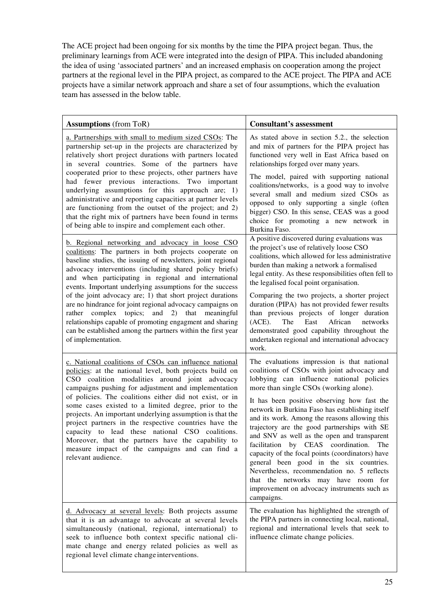The ACE project had been ongoing for six months by the time the PIPA project began. Thus, the preliminary learnings from ACE were integrated into the design of PIPA. This included abandoning the idea of using 'associated partners' and an increased emphasis on cooperation among the project partners at the regional level in the PIPA project, as compared to the ACE project. The PIPA and ACE projects have a similar network approach and share a set of four assumptions, which the evaluation team has assessed in the below table.

| <b>Assumptions</b> (from ToR)                                                                                                                                                                                                                                                                                                                                                                                                                                                                                                                                                                                                                                                             | <b>Consultant's assessment</b>                                                                                                                                                                                                                                                                                                                                                                                                                                                                                                                                                                                                                                                                                                   |
|-------------------------------------------------------------------------------------------------------------------------------------------------------------------------------------------------------------------------------------------------------------------------------------------------------------------------------------------------------------------------------------------------------------------------------------------------------------------------------------------------------------------------------------------------------------------------------------------------------------------------------------------------------------------------------------------|----------------------------------------------------------------------------------------------------------------------------------------------------------------------------------------------------------------------------------------------------------------------------------------------------------------------------------------------------------------------------------------------------------------------------------------------------------------------------------------------------------------------------------------------------------------------------------------------------------------------------------------------------------------------------------------------------------------------------------|
| a. Partnerships with small to medium sized CSOs: The<br>partnership set-up in the projects are characterized by<br>relatively short project durations with partners located<br>in several countries. Some of the partners have<br>cooperated prior to these projects, other partners have<br>had fewer previous interactions. Two important<br>underlying assumptions for this approach are; 1)<br>administrative and reporting capacities at partner levels<br>are functioning from the outset of the project; and 2)<br>that the right mix of partners have been found in terms<br>of being able to inspire and complement each other.                                                  | As stated above in section 5.2., the selection<br>and mix of partners for the PIPA project has<br>functioned very well in East Africa based on<br>relationships forged over many years.<br>The model, paired with supporting national<br>coalitions/networks, is a good way to involve<br>several small and medium sized CSOs as<br>opposed to only supporting a single (often<br>bigger) CSO. In this sense, CEAS was a good<br>choice for promoting a new network in<br>Burkina Faso.                                                                                                                                                                                                                                          |
| b. Regional networking and advocacy in loose CSO<br>coalitions: The partners in both projects cooperate on<br>baseline studies, the issuing of newsletters, joint regional<br>advocacy interventions (including shared policy briefs)<br>and when participating in regional and international<br>events. Important underlying assumptions for the success<br>of the joint advocacy are; 1) that short project durations<br>are no hindrance for joint regional advocacy campaigns on<br>complex topics; and 2) that meaningful<br>rather<br>relationships capable of promoting engagment and sharing<br>can be established among the partners within the first year<br>of implementation. | A positive discovered during evaluations was<br>the project's use of relatively loose CSO<br>coalitions, which allowed for less administrative<br>burden than making a network a formalised<br>legal entity. As these responsibilities often fell to<br>the legalised focal point organisation.<br>Comparing the two projects, a shorter project<br>duration (PIPA) has not provided fewer results<br>than previous projects of longer duration<br>(ACE).<br>East<br>African<br>The<br>networks<br>demonstrated good capability throughout the<br>undertaken regional and international advocacy<br>work.                                                                                                                        |
| c. National coalitions of CSOs can influence national<br>policies: at the national level, both projects build on<br>CSO coalition modalities around joint advocacy<br>campaigns pushing for adjustment and implementation<br>of policies. The coalitions either did not exist, or in<br>some cases existed to a limited degree, prior to the<br>projects. An important underlying assumption is that the<br>project partners in the respective countries have the<br>capacity to lead these national CSO coalitions.<br>Moreover, that the partners have the capability to<br>measure impact of the campaigns and can find a<br>relevant audience.                                        | The evaluations impression is that national<br>coalitions of CSOs with joint advocacy and<br>lobbying can influence national policies<br>more than single CSOs (working alone).<br>It has been positive observing how fast the<br>network in Burkina Faso has establishing itself<br>and its work. Among the reasons allowing this<br>trajectory are the good partnerships with SE<br>and SNV as well as the open and transparent<br>facilitation by CEAS coordination.<br>The<br>capacity of the focal points (coordinators) have<br>general been good in the six countries.<br>Nevertheless, recommendation no. 5 reflects<br>that the networks may have room for<br>improvement on advocacy instruments such as<br>campaigns. |
| d. Advocacy at several levels: Both projects assume<br>that it is an advantage to advocate at several levels<br>simultaneously (national, regional, international) to<br>seek to influence both context specific national cli-<br>mate change and energy related policies as well as<br>regional level climate change interventions.                                                                                                                                                                                                                                                                                                                                                      | The evaluation has highlighted the strength of<br>the PIPA partners in connecting local, national,<br>regional and international levels that seek to<br>influence climate change policies.                                                                                                                                                                                                                                                                                                                                                                                                                                                                                                                                       |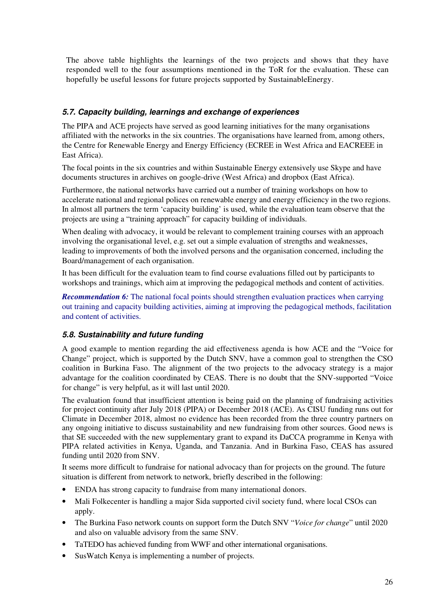The above table highlights the learnings of the two projects and shows that they have responded well to the four assumptions mentioned in the ToR for the evaluation. These can hopefully be useful lessons for future projects supported by SustainableEnergy.

### **5.7. Capacity building, learnings and exchange of experiences**

The PIPA and ACE projects have served as good learning initiatives for the many organisations affiliated with the networks in the six countries. The organisations have learned from, among others, the Centre for Renewable Energy and Energy Efficiency (ECREE in West Africa and EACREEE in East Africa).

The focal points in the six countries and within Sustainable Energy extensively use Skype and have documents structures in archives on google-drive (West Africa) and dropbox (East Africa).

Furthermore, the national networks have carried out a number of training workshops on how to accelerate national and regional polices on renewable energy and energy efficiency in the two regions. In almost all partners the term 'capacity building' is used, while the evaluation team observe that the projects are using a "training approach" for capacity building of individuals.

When dealing with advocacy, it would be relevant to complement training courses with an approach involving the organisational level, e.g. set out a simple evaluation of strengths and weaknesses, leading to improvements of both the involved persons and the organisation concerned, including the Board/management of each organisation.

It has been difficult for the evaluation team to find course evaluations filled out by participants to workshops and trainings, which aim at improving the pedagogical methods and content of activities.

*Recommendation 6:* The national focal points should strengthen evaluation practices when carrying out training and capacity building activities, aiming at improving the pedagogical methods, facilitation and content of activities.

### **5.8. Sustainability and future funding**

A good example to mention regarding the aid effectiveness agenda is how ACE and the "Voice for Change" project, which is supported by the Dutch SNV, have a common goal to strengthen the CSO coalition in Burkina Faso. The alignment of the two projects to the advocacy strategy is a major advantage for the coalition coordinated by CEAS. There is no doubt that the SNV-supported "Voice for change" is very helpful, as it will last until 2020.

The evaluation found that insufficient attention is being paid on the planning of fundraising activities for project continuity after July 2018 (PIPA) or December 2018 (ACE). As CISU funding runs out for Climate in December 2018, almost no evidence has been recorded from the three country partners on any ongoing initiative to discuss sustainability and new fundraising from other sources. Good news is that SE succeeded with the new supplementary grant to expand its DaCCA programme in Kenya with PIPA related activities in Kenya, Uganda, and Tanzania. And in Burkina Faso, CEAS has assured funding until 2020 from SNV.

It seems more difficult to fundraise for national advocacy than for projects on the ground. The future situation is different from network to network, briefly described in the following:

- ENDA has strong capacity to fundraise from many international donors.
- Mali Folkecenter is handling a major Sida supported civil society fund, where local CSOs can apply.
- The Burkina Faso network counts on support form the Dutch SNV "*Voice for change*" until 2020 and also on valuable advisory from the same SNV.
- TaTEDO has achieved funding from WWF and other international organisations.
- SusWatch Kenya is implementing a number of projects.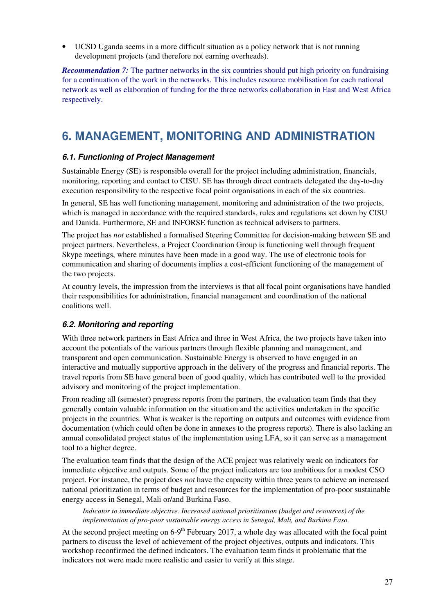• UCSD Uganda seems in a more difficult situation as a policy network that is not running development projects (and therefore not earning overheads).

*Recommendation 7:* The partner networks in the six countries should put high priority on fundraising for a continuation of the work in the networks. This includes resource mobilisation for each national network as well as elaboration of funding for the three networks collaboration in East and West Africa respectively.

# **6. MANAGEMENT, MONITORING AND ADMINISTRATION**

### **6.1. Functioning of Project Management**

Sustainable Energy (SE) is responsible overall for the project including administration, financials, monitoring, reporting and contact to CISU. SE has through direct contracts delegated the day-to-day execution responsibility to the respective focal point organisations in each of the six countries.

In general, SE has well functioning management, monitoring and administration of the two projects, which is managed in accordance with the required standards, rules and regulations set down by CISU and Danida. Furthermore, SE and INFORSE function as technical advisers to partners.

The project has *not* established a formalised Steering Committee for decision-making between SE and project partners. Nevertheless, a Project Coordination Group is functioning well through frequent Skype meetings, where minutes have been made in a good way. The use of electronic tools for communication and sharing of documents implies a cost-efficient functioning of the management of the two projects.

At country levels, the impression from the interviews is that all focal point organisations have handled their responsibilities for administration, financial management and coordination of the national coalitions well.

### **6.2. Monitoring and reporting**

With three network partners in East Africa and three in West Africa, the two projects have taken into account the potentials of the various partners through flexible planning and management, and transparent and open communication. Sustainable Energy is observed to have engaged in an interactive and mutually supportive approach in the delivery of the progress and financial reports. The travel reports from SE have general been of good quality, which has contributed well to the provided advisory and monitoring of the project implementation.

From reading all (semester) progress reports from the partners, the evaluation team finds that they generally contain valuable information on the situation and the activities undertaken in the specific projects in the countries. What is weaker is the reporting on outputs and outcomes with evidence from documentation (which could often be done in annexes to the progress reports). There is also lacking an annual consolidated project status of the implementation using LFA, so it can serve as a management tool to a higher degree.

The evaluation team finds that the design of the ACE project was relatively weak on indicators for immediate objective and outputs. Some of the project indicators are too ambitious for a modest CSO project. For instance, the project does *not* have the capacity within three years to achieve an increased national prioritization in terms of budget and resources for the implementation of pro-poor sustainable energy access in Senegal, Mali or/and Burkina Faso.

*Indicator to immediate objective. Increased national prioritisation (budget and resources) of the implementation of pro-poor sustainable energy access in Senegal, Mali, and Burkina Faso.* 

At the second project meeting on  $6-9<sup>th</sup>$  February 2017, a whole day was allocated with the focal point partners to discuss the level of achievement of the project objectives, outputs and indicators. This workshop reconfirmed the defined indicators. The evaluation team finds it problematic that the indicators not were made more realistic and easier to verify at this stage.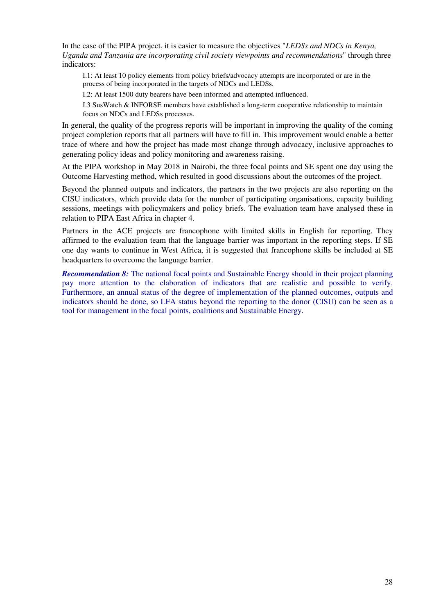In the case of the PIPA project, it is easier to measure the objectives "*LEDSs and NDCs in Kenya, Uganda and Tanzania are incorporating civil society viewpoints and recommendations*" through three indicators:

I.1: At least 10 policy elements from policy briefs/advocacy attempts are incorporated or are in the process of being incorporated in the targets of NDCs and LEDSs.

I.2: At least 1500 duty bearers have been informed and attempted influenced.

I.3 SusWatch & INFORSE members have established a long-term cooperative relationship to maintain focus on NDCs and LEDSs processes.

In general, the quality of the progress reports will be important in improving the quality of the coming project completion reports that all partners will have to fill in. This improvement would enable a better trace of where and how the project has made most change through advocacy, inclusive approaches to generating policy ideas and policy monitoring and awareness raising.

At the PIPA workshop in May 2018 in Nairobi, the three focal points and SE spent one day using the Outcome Harvesting method, which resulted in good discussions about the outcomes of the project.

Beyond the planned outputs and indicators, the partners in the two projects are also reporting on the CISU indicators, which provide data for the number of participating organisations, capacity building sessions, meetings with policymakers and policy briefs. The evaluation team have analysed these in relation to PIPA East Africa in chapter 4.

Partners in the ACE projects are francophone with limited skills in English for reporting. They affirmed to the evaluation team that the language barrier was important in the reporting steps. If SE one day wants to continue in West Africa, it is suggested that francophone skills be included at SE headquarters to overcome the language barrier.

*Recommendation 8:* The national focal points and Sustainable Energy should in their project planning pay more attention to the elaboration of indicators that are realistic and possible to verify. Furthermore, an annual status of the degree of implementation of the planned outcomes, outputs and indicators should be done, so LFA status beyond the reporting to the donor (CISU) can be seen as a tool for management in the focal points, coalitions and Sustainable Energy.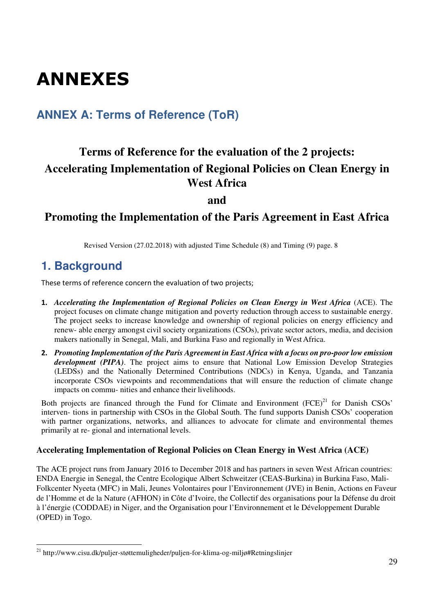# ANNEXES

# **ANNEX A: Terms of Reference (ToR)**

# **Terms of Reference for the evaluation of the 2 projects: Accelerating Implementation of Regional Policies on Clean Energy in West Africa**

**and** 

## **Promoting the Implementation of the Paris Agreement in East Africa**

Revised Version (27.02.2018) with adjusted Time Schedule (8) and Timing (9) page. 8

# **1. Background**

These terms of reference concern the evaluation of two projects;

- 1. *Accelerating the Implementation of Regional Policies on Clean Energy in West Africa* (ACE). The project focuses on climate change mitigation and poverty reduction through access to sustainable energy. The project seeks to increase knowledge and ownership of regional policies on energy efficiency and renew- able energy amongst civil society organizations (CSOs), private sector actors, media, and decision makers nationally in Senegal, Mali, and Burkina Faso and regionally in West Africa.
- 2. *Promoting Implementation of the Paris Agreement in East Africa with a focus on pro-poor low emission development (PIPA)*. The project aims to ensure that National Low Emission Develop Strategies (LEDSs) and the Nationally Determined Contributions (NDCs) in Kenya, Uganda, and Tanzania incorporate CSOs viewpoints and recommendations that will ensure the reduction of climate change impacts on commu- nities and enhance their livelihoods.

Both projects are financed through the Fund for Climate and Environment  $(FCE)^{21}$  for Danish CSOs' interven- tions in partnership with CSOs in the Global South. The fund supports Danish CSOs' cooperation with partner organizations, networks, and alliances to advocate for climate and environmental themes primarily at re- gional and international levels.

### **Accelerating Implementation of Regional Policies on Clean Energy in West Africa (ACE)**

The ACE project runs from January 2016 to December 2018 and has partners in seven West African countries: ENDA Energie in Senegal, the Centre Ecologique Albert Schweitzer (CEAS-Burkina) in Burkina Faso, Mali-Folkcenter Nyeeta (MFC) in Mali, Jeunes Volontaires pour l'Environnement (JVE) in Benin, Actions en Faveur de l'Homme et de la Nature (AFHON) in Côte d'Ivoire, the Collectif des organisations pour la Défense du droit à l'énergie (CODDAE) in Niger, and the Organisation pour l'Environnement et le Développement Durable (OPED) in Togo.

 $\ddot{\phantom{a}}$ <sup>21</sup> http://www.cisu.dk/puljer-støttemuligheder/puljen-for-klima-og-miljø#Retningslinjer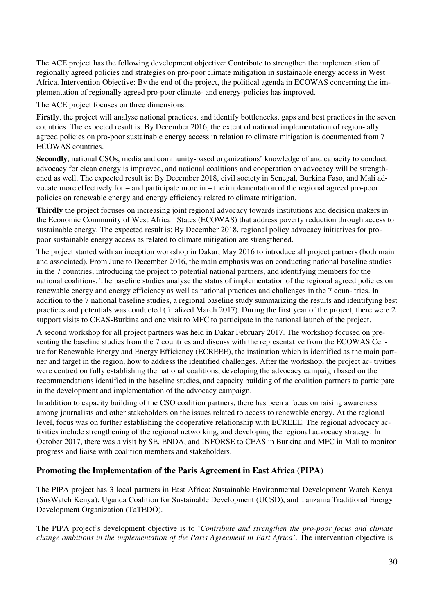The ACE project has the following development objective: Contribute to strengthen the implementation of regionally agreed policies and strategies on pro-poor climate mitigation in sustainable energy access in West Africa. Intervention Objective: By the end of the project, the political agenda in ECOWAS concerning the implementation of regionally agreed pro-poor climate- and energy-policies has improved.

The ACE project focuses on three dimensions:

**Firstly**, the project will analyse national practices, and identify bottlenecks, gaps and best practices in the seven countries. The expected result is: By December 2016, the extent of national implementation of region- ally agreed policies on pro-poor sustainable energy access in relation to climate mitigation is documented from 7 ECOWAS countries.

**Secondly**, national CSOs, media and community-based organizations' knowledge of and capacity to conduct advocacy for clean energy is improved, and national coalitions and cooperation on advocacy will be strengthened as well. The expected result is: By December 2018, civil society in Senegal, Burkina Faso, and Mali advocate more effectively for – and participate more in – the implementation of the regional agreed pro-poor policies on renewable energy and energy efficiency related to climate mitigation.

**Thirdly** the project focuses on increasing joint regional advocacy towards institutions and decision makers in the Economic Community of West African States (ECOWAS) that address poverty reduction through access to sustainable energy. The expected result is: By December 2018, regional policy advocacy initiatives for propoor sustainable energy access as related to climate mitigation are strengthened.

The project started with an inception workshop in Dakar, May 2016 to introduce all project partners (both main and associated). From June to December 2016, the main emphasis was on conducting national baseline studies in the 7 countries, introducing the project to potential national partners, and identifying members for the national coalitions. The baseline studies analyse the status of implementation of the regional agreed policies on renewable energy and energy efficiency as well as national practices and challenges in the 7 coun- tries. In addition to the 7 national baseline studies, a regional baseline study summarizing the results and identifying best practices and potentials was conducted (finalized March 2017). During the first year of the project, there were 2 support visits to CEAS-Burkina and one visit to MFC to participate in the national launch of the project.

A second workshop for all project partners was held in Dakar February 2017. The workshop focused on presenting the baseline studies from the 7 countries and discuss with the representative from the ECOWAS Centre for Renewable Energy and Energy Efficiency (ECREEE), the institution which is identified as the main partner and target in the region, how to address the identified challenges. After the workshop, the project ac- tivities were centred on fully establishing the national coalitions, developing the advocacy campaign based on the recommendations identified in the baseline studies, and capacity building of the coalition partners to participate in the development and implementation of the advocacy campaign.

In addition to capacity building of the CSO coalition partners, there has been a focus on raising awareness among journalists and other stakeholders on the issues related to access to renewable energy. At the regional level, focus was on further establishing the cooperative relationship with ECREEE. The regional advocacy activities include strengthening of the regional networking, and developing the regional advocacy strategy. In October 2017, there was a visit by SE, ENDA, and INFORSE to CEAS in Burkina and MFC in Mali to monitor progress and liaise with coalition members and stakeholders.

#### **Promoting the Implementation of the Paris Agreement in East Africa (PIPA)**

The PIPA project has 3 local partners in East Africa: Sustainable Environmental Development Watch Kenya (SusWatch Kenya); Uganda Coalition for Sustainable Development (UCSD), and Tanzania Traditional Energy Development Organization (TaTEDO).

The PIPA project's development objective is to '*Contribute and strengthen the pro-poor focus and climate change ambitions in the implementation of the Paris Agreement in East Africa'*. The intervention objective is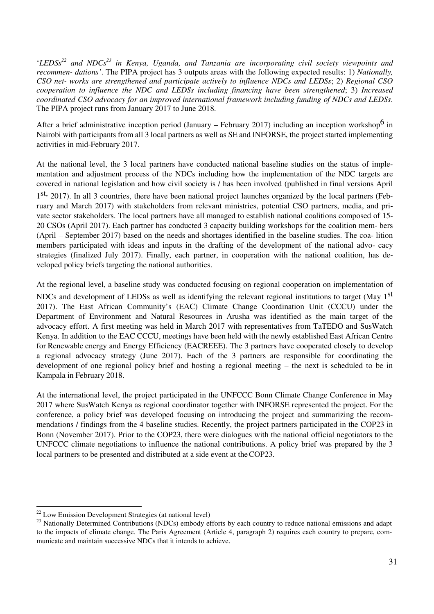'*LEDSs<sup>22</sup> and NDCs<sup>23</sup> in Kenya, Uganda, and Tanzania are incorporating civil society viewpoints and recommen- dations'*. The PIPA project has 3 outputs areas with the following expected results: 1) *Nationally, CSO net- works are strengthened and participate actively to influence NDCs and LEDSs*; 2) *Regional CSO cooperation to influence the NDC and LEDSs including financing have been strengthened*; 3) *Increased coordinated CSO advocacy for an improved international framework including funding of NDCs and LEDSs*. The PIPA project runs from January 2017 to June 2018.

After a brief administrative inception period (January – February 2017) including an inception workshop<sup>6</sup> in Nairobi with participants from all 3 local partners as well as SE and INFORSE, the project started implementing activities in mid-February 2017.

At the national level, the 3 local partners have conducted national baseline studies on the status of implementation and adjustment process of the NDCs including how the implementation of the NDC targets are covered in national legislation and how civil society is / has been involved (published in final versions April 1<sup>st,</sup> 2017). In all 3 countries, there have been national project launches organized by the local partners (February and March 2017) with stakeholders from relevant ministries, potential CSO partners, media, and private sector stakeholders. The local partners have all managed to establish national coalitions composed of 15- 20 CSOs (April 2017). Each partner has conducted 3 capacity building workshops for the coalition mem- bers (April – September 2017) based on the needs and shortages identified in the baseline studies. The coa- lition members participated with ideas and inputs in the drafting of the development of the national advo- cacy strategies (finalized July 2017). Finally, each partner, in cooperation with the national coalition, has developed policy briefs targeting the national authorities.

At the regional level, a baseline study was conducted focusing on regional cooperation on implementation of NDCs and development of LEDSs as well as identifying the relevant regional institutions to target (May 1<sup>st</sup> 2017). The East African Community's (EAC) Climate Change Coordination Unit (CCCU) under the Department of Environment and Natural Resources in Arusha was identified as the main target of the advocacy effort. A first meeting was held in March 2017 with representatives from TaTEDO and SusWatch Kenya. In addition to the EAC CCCU, meetings have been held with the newly established East African Centre for Renewable energy and Energy Efficiency (EACREEE). The 3 partners have cooperated closely to develop a regional advocacy strategy (June 2017). Each of the 3 partners are responsible for coordinating the development of one regional policy brief and hosting a regional meeting – the next is scheduled to be in Kampala in February 2018.

At the international level, the project participated in the UNFCCC Bonn Climate Change Conference in May 2017 where SusWatch Kenya as regional coordinator together with INFORSE represented the project. For the conference, a policy brief was developed focusing on introducing the project and summarizing the recommendations / findings from the 4 baseline studies. Recently, the project partners participated in the COP23 in Bonn (November 2017). Prior to the COP23, there were dialogues with the national official negotiators to the UNFCCC climate negotiations to influence the national contributions. A policy brief was prepared by the 3 local partners to be presented and distributed at a side event at the COP23.

 $\overline{a}$ 

 $22$  Low Emission Development Strategies (at national level)

<sup>&</sup>lt;sup>23</sup> Nationally Determined Contributions (NDCs) embody efforts by each country to reduce national emissions and adapt to the impacts of climate change. The Paris Agreement (Article 4, paragraph 2) requires each country to prepare, communicate and maintain successive NDCs that it intends to achieve.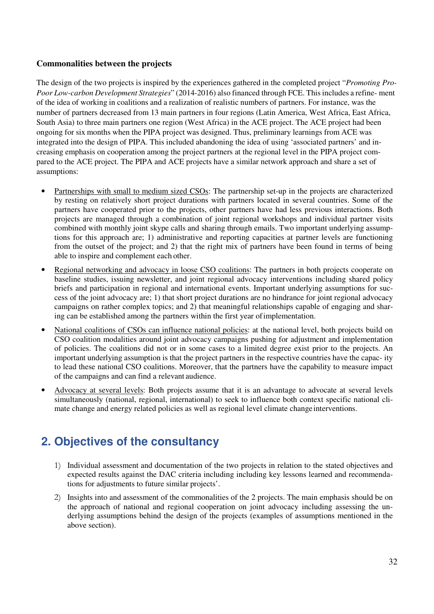### **Commonalities between the projects**

The design of the two projects is inspired by the experiences gathered in the completed project "*Promoting Pro-Poor Low-carbon Development Strategies*" (2014-2016) also financed through FCE. This includes a refine- ment of the idea of working in coalitions and a realization of realistic numbers of partners. For instance, was the number of partners decreased from 13 main partners in four regions (Latin America, West Africa, East Africa, South Asia) to three main partners one region (West Africa) in the ACE project. The ACE project had been ongoing for six months when the PIPA project was designed. Thus, preliminary learnings from ACE was integrated into the design of PIPA. This included abandoning the idea of using 'associated partners' and increasing emphasis on cooperation among the project partners at the regional level in the PIPA project compared to the ACE project. The PIPA and ACE projects have a similar network approach and share a set of assumptions:

- Partnerships with small to medium sized CSOs: The partnership set-up in the projects are characterized by resting on relatively short project durations with partners located in several countries. Some of the partners have cooperated prior to the projects, other partners have had less previous interactions. Both projects are managed through a combination of joint regional workshops and individual partner visits combined with monthly joint skype calls and sharing through emails. Two important underlying assumptions for this approach are; 1) administrative and reporting capacities at partner levels are functioning from the outset of the project; and 2) that the right mix of partners have been found in terms of being able to inspire and complement each other.
- Regional networking and advocacy in loose CSO coalitions: The partners in both projects cooperate on baseline studies, issuing newsletter, and joint regional advocacy interventions including shared policy briefs and participation in regional and international events. Important underlying assumptions for success of the joint advocacy are; 1) that short project durations are no hindrance for joint regional advocacy campaigns on rather complex topics; and 2) that meaningful relationships capable of engaging and sharing can be established among the partners within the first year of implementation.
- National coalitions of CSOs can influence national policies: at the national level, both projects build on CSO coalition modalities around joint advocacy campaigns pushing for adjustment and implementation of policies. The coalitions did not or in some cases to a limited degree exist prior to the projects. An important underlying assumption is that the project partners in the respective countries have the capac- ity to lead these national CSO coalitions. Moreover, that the partners have the capability to measure impact of the campaigns and can find a relevant audience.
- Advocacy at several levels: Both projects assume that it is an advantage to advocate at several levels simultaneously (national, regional, international) to seek to influence both context specific national climate change and energy related policies as well as regional level climate change interventions.

# **2. Objectives of the consultancy**

- 1) Individual assessment and documentation of the two projects in relation to the stated objectives and expected results against the DAC criteria including including key lessons learned and recommendations for adjustments to future similar projects'.
- 2) Insights into and assessment of the commonalities of the 2 projects. The main emphasis should be on the approach of national and regional cooperation on joint advocacy including assessing the underlying assumptions behind the design of the projects (examples of assumptions mentioned in the above section).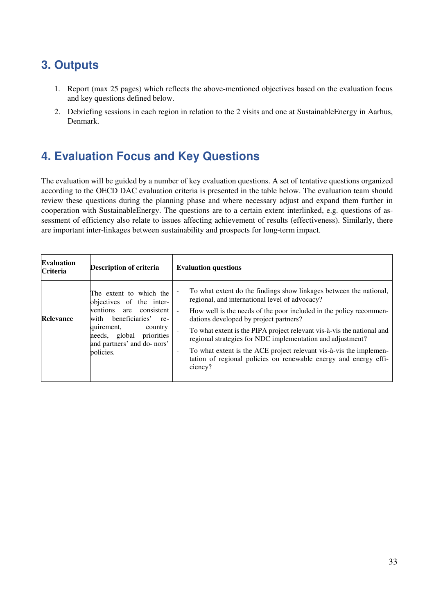# **3. Outputs**

- 1. Report (max 25 pages) which reflects the above-mentioned objectives based on the evaluation focus and key questions defined below.
- 2. Debriefing sessions in each region in relation to the 2 visits and one at SustainableEnergy in Aarhus, Denmark.

# **4. Evaluation Focus and Key Questions**

The evaluation will be guided by a number of key evaluation questions. A set of tentative questions organized according to the OECD DAC evaluation criteria is presented in the table below. The evaluation team should review these questions during the planning phase and where necessary adjust and expand them further in cooperation with SustainableEnergy. The questions are to a certain extent interlinked, e.g. questions of assessment of efficiency also relate to issues affecting achievement of results (effectiveness). Similarly, there are important inter-linkages between sustainability and prospects for long-term impact.

| <b>Evaluation</b><br><b>Criteria</b> | <b>Description of criteria</b>                                                                                                                                                                                     | <b>Evaluation questions</b>                                                                                                                                                                                                                                                                                                                                                                                                                                                                                                                                                     |  |
|--------------------------------------|--------------------------------------------------------------------------------------------------------------------------------------------------------------------------------------------------------------------|---------------------------------------------------------------------------------------------------------------------------------------------------------------------------------------------------------------------------------------------------------------------------------------------------------------------------------------------------------------------------------------------------------------------------------------------------------------------------------------------------------------------------------------------------------------------------------|--|
| <b>Relevance</b>                     | The extent to which the<br>objectives of the inter-<br>ventions are<br>consistent<br>with beneficiaries'<br>re-<br>quirement,<br>country<br>priorities<br>needs, global<br>and partners' and do-nors'<br>policies. | To what extent do the findings show linkages between the national,<br>regional, and international level of advocacy?<br>How well is the needs of the poor included in the policy recommen-<br>$\blacksquare$<br>dations developed by project partners?<br>To what extent is the PIPA project relevant vis-à-vis the national and<br>regional strategies for NDC implementation and adjustment?<br>To what extent is the ACE project relevant vis-à-vis the implemen-<br>$\overline{\phantom{a}}$<br>tation of regional policies on renewable energy and energy effi-<br>ciency? |  |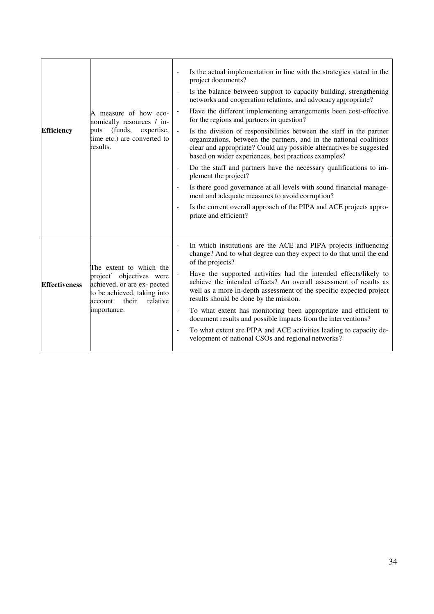| A measure of how eco-<br>nomically resources / in-<br>(funds,<br>expertise,<br><b>Efficiency</b><br>puts<br>time etc.) are converted to<br>results.                                      | Is the actual implementation in line with the strategies stated in the<br>project documents?<br>Is the balance between support to capacity building, strengthening<br>networks and cooperation relations, and advocacy appropriate?<br>Have the different implementing arrangements been cost-effective<br>for the regions and partners in question?<br>Is the division of responsibilities between the staff in the partner<br>organizations, between the partners, and in the national coalitions<br>clear and appropriate? Could any possible alternatives be suggested<br>based on wider experiences, best practices examples?<br>Do the staff and partners have the necessary qualifications to im-<br>٠<br>plement the project?<br>Is there good governance at all levels with sound financial manage-<br>$\qquad \qquad \blacksquare$<br>ment and adequate measures to avoid corruption?<br>Is the current overall approach of the PIPA and ACE projects appro-<br>priate and efficient? |
|------------------------------------------------------------------------------------------------------------------------------------------------------------------------------------------|-------------------------------------------------------------------------------------------------------------------------------------------------------------------------------------------------------------------------------------------------------------------------------------------------------------------------------------------------------------------------------------------------------------------------------------------------------------------------------------------------------------------------------------------------------------------------------------------------------------------------------------------------------------------------------------------------------------------------------------------------------------------------------------------------------------------------------------------------------------------------------------------------------------------------------------------------------------------------------------------------|
| The extent to which the<br>project' objectives were<br><b>Effectiveness</b><br>achieved, or are ex- pected<br>to be achieved, taking into<br>relative<br>account<br>their<br>importance. | In which institutions are the ACE and PIPA projects influencing<br>change? And to what degree can they expect to do that until the end<br>of the projects?<br>Have the supported activities had the intended effects/likely to<br>achieve the intended effects? An overall assessment of results as<br>well as a more in-depth assessment of the specific expected project<br>results should be done by the mission.<br>To what extent has monitoring been appropriate and efficient to<br>document results and possible impacts from the interventions?<br>To what extent are PIPA and ACE activities leading to capacity de-<br>$\qquad \qquad \blacksquare$<br>velopment of national CSOs and regional networks?                                                                                                                                                                                                                                                                             |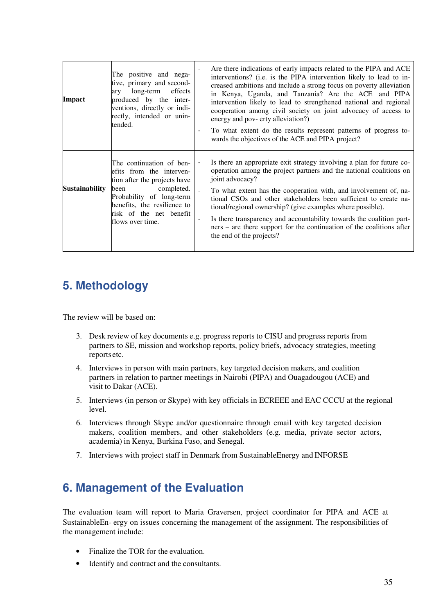| <b>Impact</b>         | The positive and nega-<br>tive, primary and second-<br>long-term effects<br>ary<br>produced by the inter-<br>ventions, directly or indi-<br>rectly, intended or unin-<br>tended.                                     | Are there indications of early impacts related to the PIPA and ACE<br>interventions? (i.e. is the PIPA intervention likely to lead to in-<br>creased ambitions and include a strong focus on poverty alleviation<br>in Kenya, Uganda, and Tanzania? Are the ACE and PIPA<br>intervention likely to lead to strengthened national and regional<br>cooperation among civil society on joint advocacy of access to<br>energy and pov- erty alleviation?)<br>To what extent do the results represent patterns of progress to-<br>wards the objectives of the ACE and PIPA project? |
|-----------------------|----------------------------------------------------------------------------------------------------------------------------------------------------------------------------------------------------------------------|--------------------------------------------------------------------------------------------------------------------------------------------------------------------------------------------------------------------------------------------------------------------------------------------------------------------------------------------------------------------------------------------------------------------------------------------------------------------------------------------------------------------------------------------------------------------------------|
| <b>Sustainability</b> | The continuation of ben-<br>efits from the interven-<br>tion after the projects have<br>completed.<br>been<br>Probability of long-term<br>benefits, the resilience to<br>risk of the net benefit<br>flows over time. | Is there an appropriate exit strategy involving a plan for future co-<br>operation among the project partners and the national coalitions on<br>joint advocacy?<br>To what extent has the cooperation with, and involvement of, na-<br>tional CSOs and other stakeholders been sufficient to create na-<br>tional/regional ownership? (give examples where possible).<br>Is there transparency and accountability towards the coalition part-<br>ners – are there support for the continuation of the coalitions after<br>the end of the projects?                             |

# **5. Methodology**

The review will be based on:

- 3. Desk review of key documents e.g. progress reports to CISU and progress reports from partners to SE, mission and workshop reports, policy briefs, advocacy strategies, meeting reports etc.
- 4. Interviews in person with main partners, key targeted decision makers, and coalition partners in relation to partner meetings in Nairobi (PIPA) and Ouagadougou (ACE) and visit to Dakar (ACE).
- 5. Interviews (in person or Skype) with key officials in ECREEE and EAC CCCU at the regional level.
- 6. Interviews through Skype and/or questionnaire through email with key targeted decision makers, coalition members, and other stakeholders (e.g. media, private sector actors, academia) in Kenya, Burkina Faso, and Senegal.
- 7. Interviews with project staff in Denmark from SustainableEnergy and INFORSE

# **6. Management of the Evaluation**

The evaluation team will report to Maria Graversen, project coordinator for PIPA and ACE at SustainableEn- ergy on issues concerning the management of the assignment. The responsibilities of the management include:

- Finalize the TOR for the evaluation.
- Identify and contract and the consultants.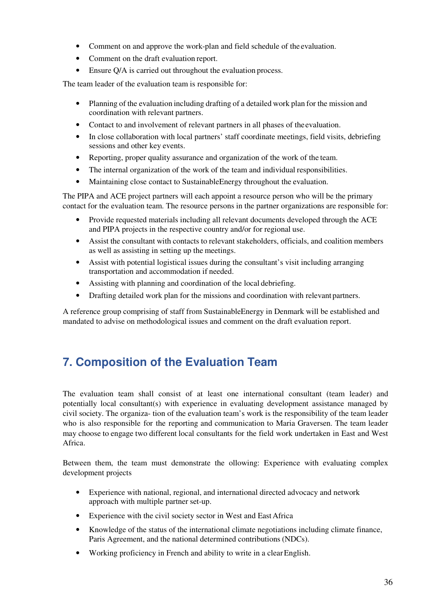- Comment on and approve the work-plan and field schedule of the evaluation.
- Comment on the draft evaluation report.
- Ensure O/A is carried out throughout the evaluation process.

The team leader of the evaluation team is responsible for:

- Planning of the evaluation including drafting of a detailed work plan for the mission and coordination with relevant partners.
- Contact to and involvement of relevant partners in all phases of the evaluation.
- In close collaboration with local partners' staff coordinate meetings, field visits, debriefing sessions and other key events.
- Reporting, proper quality assurance and organization of the work of the team.
- The internal organization of the work of the team and individual responsibilities.
- Maintaining close contact to Sustainable Energy throughout the evaluation.

The PIPA and ACE project partners will each appoint a resource person who will be the primary contact for the evaluation team. The resource persons in the partner organizations are responsible for:

- Provide requested materials including all relevant documents developed through the ACE and PIPA projects in the respective country and/or for regional use.
- Assist the consultant with contacts to relevant stakeholders, officials, and coalition members as well as assisting in setting up the meetings.
- Assist with potential logistical issues during the consultant's visit including arranging transportation and accommodation if needed.
- Assisting with planning and coordination of the local debriefing.
- Drafting detailed work plan for the missions and coordination with relevant partners.

A reference group comprising of staff from SustainableEnergy in Denmark will be established and mandated to advise on methodological issues and comment on the draft evaluation report.

# **7. Composition of the Evaluation Team**

The evaluation team shall consist of at least one international consultant (team leader) and potentially local consultant(s) with experience in evaluating development assistance managed by civil society. The organiza- tion of the evaluation team's work is the responsibility of the team leader who is also responsible for the reporting and communication to Maria Graversen. The team leader may choose to engage two different local consultants for the field work undertaken in East and West Africa.

Between them, the team must demonstrate the ollowing: Experience with evaluating complex development projects

- Experience with national, regional, and international directed advocacy and network approach with multiple partner set-up.
- Experience with the civil society sector in West and East Africa
- Knowledge of the status of the international climate negotiations including climate finance, Paris Agreement, and the national determined contributions (NDCs).
- Working proficiency in French and ability to write in a clear English.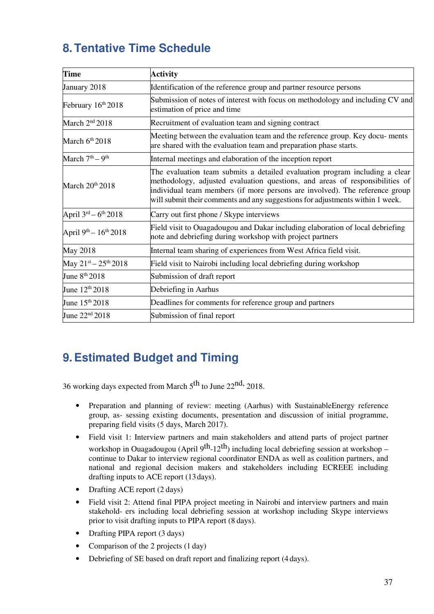# **8. Tentative Time Schedule**

| <b>Time</b>                             | <b>Activity</b>                                                                                                                                                                                                                                                                                                             |
|-----------------------------------------|-----------------------------------------------------------------------------------------------------------------------------------------------------------------------------------------------------------------------------------------------------------------------------------------------------------------------------|
| January 2018                            | Identification of the reference group and partner resource persons                                                                                                                                                                                                                                                          |
| February 16th 2018                      | Submission of notes of interest with focus on methodology and including CV and<br>estimation of price and time                                                                                                                                                                                                              |
| March 2 <sup>nd</sup> 2018              | Recruitment of evaluation team and signing contract                                                                                                                                                                                                                                                                         |
| March $6th 2018$                        | Meeting between the evaluation team and the reference group. Key docu-ments<br>are shared with the evaluation team and preparation phase starts.                                                                                                                                                                            |
| March 7 <sup>th</sup> – 9 <sup>th</sup> | Internal meetings and elaboration of the inception report                                                                                                                                                                                                                                                                   |
| March 20 <sup>th</sup> 2018             | The evaluation team submits a detailed evaluation program including a clear<br>methodology, adjusted evaluation questions, and areas of responsibilities of<br>individual team members (if more persons are involved). The reference group<br>will submit their comments and any suggestions for adjustments within 1 week. |
| April $3^{rd} - 6^{th}$ 2018            | Carry out first phone / Skype interviews                                                                                                                                                                                                                                                                                    |
| April 9th - 16th 2018                   | Field visit to Ouagadougou and Dakar including elaboration of local debriefing<br>note and debriefing during workshop with project partners                                                                                                                                                                                 |
| May 2018                                | Internal team sharing of experiences from West Africa field visit.                                                                                                                                                                                                                                                          |
| May $21^{st} - 25^{th} 2018$            | Field visit to Nairobi including local debriefing during workshop                                                                                                                                                                                                                                                           |
| June 8 <sup>th</sup> 2018               | Submission of draft report                                                                                                                                                                                                                                                                                                  |
| June 12 <sup>th</sup> 2018              | Debriefing in Aarhus                                                                                                                                                                                                                                                                                                        |
| June $15^{th} 2018$                     | Deadlines for comments for reference group and partners                                                                                                                                                                                                                                                                     |
| June 22 <sup>nd</sup> 2018              | Submission of final report                                                                                                                                                                                                                                                                                                  |

# **9. Estimated Budget and Timing**

36 working days expected from March 5th to June 22nd, 2018.

- Preparation and planning of review: meeting (Aarhus) with SustainableEnergy reference group, as- sessing existing documents, presentation and discussion of initial programme, preparing field visits (5 days, March 2017).
- Field visit 1: Interview partners and main stakeholders and attend parts of project partner workshop in Ouagadougou (April  $9^{th}$ -12<sup>th</sup>) including local debriefing session at workshop – continue to Dakar to interview regional coordinator ENDA as well as coalition partners, and national and regional decision makers and stakeholders including ECREEE including drafting inputs to ACE report (13 days).
- Drafting ACE report (2 days)
- Field visit 2: Attend final PIPA project meeting in Nairobi and interview partners and main stakehold- ers including local debriefing session at workshop including Skype interviews prior to visit drafting inputs to PIPA report (8 days).
- Drafting PIPA report (3 days)
- Comparison of the 2 projects (1 day)
- Debriefing of SE based on draft report and finalizing report (4 days).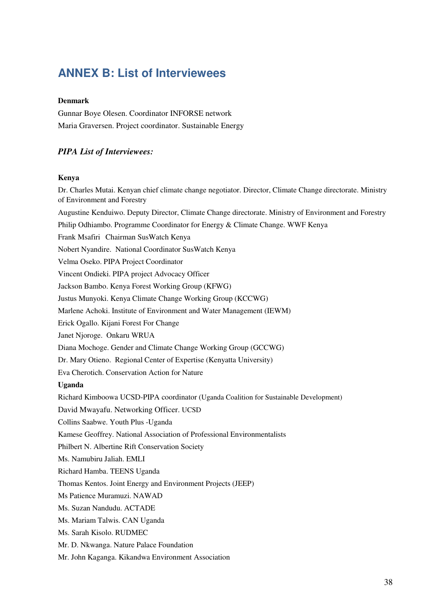# **ANNEX B: List of Interviewees**

#### **Denmark**

Gunnar Boye Olesen. Coordinator INFORSE network Maria Graversen. Project coordinator. Sustainable Energy

### *PIPA List of Interviewees:*

#### **Kenya**

Dr. Charles Mutai. Kenyan chief climate change negotiator. Director, Climate Change directorate. Ministry of Environment and Forestry Augustine Kenduiwo. Deputy Director, Climate Change directorate. Ministry of Environment and Forestry Philip Odhiambo. Programme Coordinator for Energy & Climate Change. WWF Kenya Frank Msafiri Chairman SusWatch Kenya Nobert Nyandire. National Coordinator SusWatch Kenya Velma Oseko. PIPA Project Coordinator Vincent Ondieki. PIPA project Advocacy Officer Jackson Bambo. Kenya Forest Working Group (KFWG) Justus Munyoki. Kenya Climate Change Working Group (KCCWG) Marlene Achoki. Institute of Environment and Water Management (IEWM) Erick Ogallo. Kijani Forest For Change Janet Njoroge. Onkaru WRUA Diana Mochoge. Gender and Climate Change Working Group (GCCWG) Dr. Mary Otieno. Regional Center of Expertise (Kenyatta University) Eva Cherotich. Conservation Action for Nature **Uganda**  Richard Kimboowa UCSD-PIPA coordinator (Uganda Coalition for Sustainable Development) David Mwayafu. Networking Officer. UCSD Collins Saabwe. Youth Plus -Uganda Kamese Geoffrey. National Association of Professional Environmentalists Philbert N. Albertine Rift Conservation Society Ms. Namubiru Jaliah. EMLI Richard Hamba. TEENS Uganda Thomas Kentos. Joint Energy and Environment Projects (JEEP) Ms Patience Muramuzi. NAWAD Ms. Suzan Nandudu. ACTADE Ms. Mariam Talwis. CAN Uganda Ms. Sarah Kisolo. RUDMEC Mr. D. Nkwanga. Nature Palace Foundation Mr. John Kaganga. Kikandwa Environment Association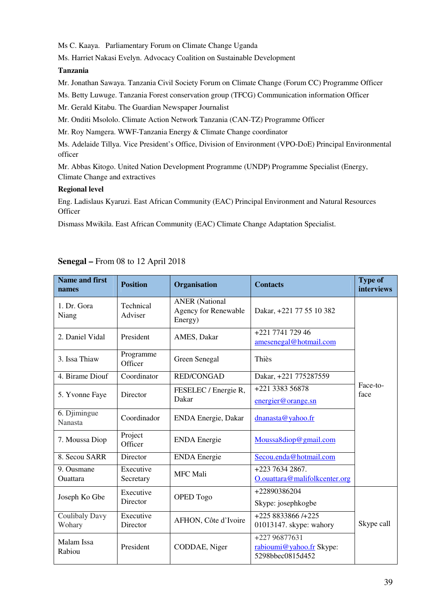Ms C. Kaaya. Parliamentary Forum on Climate Change Uganda

Ms. Harriet Nakasi Evelyn. Advocacy Coalition on Sustainable Development

#### **Tanzania**

Mr. Jonathan Sawaya. Tanzania Civil Society Forum on Climate Change (Forum CC) Programme Officer

Ms. Betty Luwuge. Tanzania Forest conservation group (TFCG) Communication information Officer

Mr. Gerald Kitabu. The Guardian Newspaper Journalist

Mr. Onditi Msololo. Climate Action Network Tanzania (CAN-TZ) Programme Officer

Mr. Roy Namgera. WWF-Tanzania Energy & Climate Change coordinator

Ms. Adelaide Tillya. Vice President's Office, Division of Environment (VPO-DoE) Principal Environmental officer

Mr. Abbas Kitogo. United Nation Development Programme (UNDP) Programme Specialist (Energy, Climate Change and extractives

#### **Regional level**

Eng. Ladislaus Kyaruzi. East African Community (EAC) Principal Environment and Natural Resources **Officer** 

Dismass Mwikila. East African Community (EAC) Climate Change Adaptation Specialist.

| <b>Name and first</b><br>names | <b>Position</b>       | Organisation                                             | <b>Contacts</b>                                               | <b>Type of</b><br><b>interviews</b> |
|--------------------------------|-----------------------|----------------------------------------------------------|---------------------------------------------------------------|-------------------------------------|
| 1. Dr. Gora<br>Niang           | Technical<br>Adviser  | <b>ANER</b> (National<br>Agency for Renewable<br>Energy) | Dakar, +221 77 55 10 382                                      |                                     |
| 2. Daniel Vidal                | President             | AMES, Dakar                                              | +221 7741 729 46<br>amesenegal@hotmail.com                    |                                     |
| 3. Issa Thiaw                  | Programme<br>Officer  | Green Senegal                                            | Thiès                                                         |                                     |
| 4. Birame Diouf                | Coordinator           | <b>RED/CONGAD</b>                                        | Dakar, +221 775287559                                         |                                     |
| 5. Yvonne Faye                 | Director              | FESELEC / Energie R,<br>Dakar                            | +221 3383 56878                                               | Face-to-<br>face                    |
|                                |                       |                                                          | energier@orange.sn                                            |                                     |
| 6. Djimingue<br>Nanasta        | Coordinador           | ENDA Energie, Dakar                                      | dnanasta@yahoo.fr                                             |                                     |
| 7. Moussa Diop                 | Project<br>Officer    | <b>ENDA</b> Energie                                      | Moussa8diop@gmail.com                                         |                                     |
| 8. Secou SARR                  | Director              | <b>ENDA</b> Energie                                      | Secou.enda@hotmail.com                                        |                                     |
| 9. Ousmane                     | Executive             | <b>MFC</b> Mali                                          | $+22376342867.$                                               |                                     |
| Ouattara                       | Secretary             |                                                          | O.ouattara@malifolkcenter.org                                 |                                     |
| Joseph Ko Gbe                  | Executive<br>Director | OPED Togo                                                | +22890386204                                                  | Skype call                          |
|                                |                       |                                                          | Skype: josephkogbe                                            |                                     |
| <b>Coulibaly Davy</b>          | Executive             | AFHON, Côte d'Ivoire                                     | +225 8833866 /+225                                            |                                     |
| Wohary                         | Director              |                                                          | 01013147. skype: wahory                                       |                                     |
| Malam Issa<br>Rabiou           | President             | CODDAE, Niger                                            | +227 96877631<br>rabioumi@yahoo.fr Skype:<br>5298bbec0815d452 |                                     |

### **Senegal –** From 08 to 12 April 2018